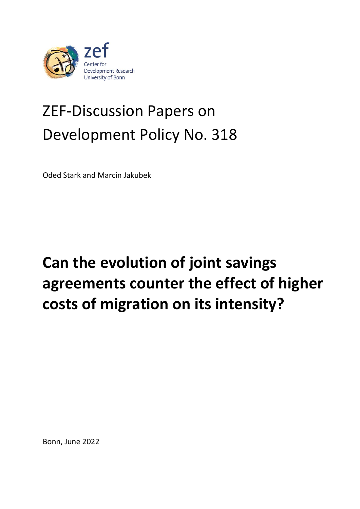

# ZEF-Discussion Papers on Development Policy No. 318

Oded Stark and Marcin Jakubek

# **Can the evolution of joint savings agreements counter the effect of higher costs of migration on its intensity?**

Bonn, June 2022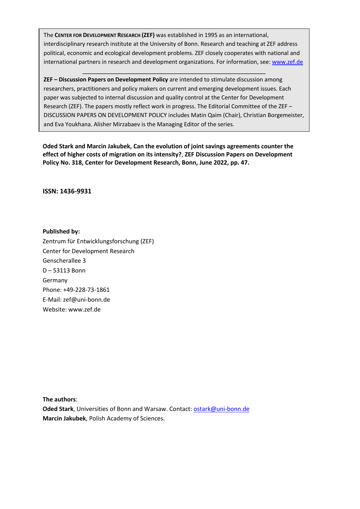The **CENTER FOR DEVELOPMENT RESEARCH (ZEF)** was established in 1995 as an international, interdisciplinary research institute at the University of Bonn. Research and teaching at ZEF address political, economic and ecological development problems. ZEF closely cooperates with national and international partners in research and development organizations. For information, see: [www.zef.de](http://www.zef.de/)

**ZEF – Discussion Papers on Development Policy** are intended to stimulate discussion among researchers, practitioners and policy makers on current and emerging development issues. Each paper was subjected to internal discussion and quality control at the Center for Development Research (ZEF). The papers mostly reflect work in progress. The Editorial Committee of the ZEF – DISCUSSION PAPERS ON DEVELOPMENT POLICY includes Matin Qaim (Chair), Christian Borgemeister, and Eva Youkhana. Alisher Mirzabaev is the Managing Editor of the series.

**Oded Stark and Marcin Jakubek, Can the evolution of joint savings agreements counter the effect of higher costs of migration on its intensity?**, **ZEF Discussion Papers on Development Policy No. 318, Center for Development Research, Bonn, June 2022, pp. 47.**

**ISSN: 1436-9931**

**Published by:**

Zentrum für Entwicklungsforschung (ZEF) Center for Development Research Genscherallee 3 D – 53113 Bonn Germany Phone: +49-228-73-1861 E-Mail: zef@uni-bonn.de Website: www.zef.de

**The authors**:

**Oded Stark**, Universities of Bonn and Warsaw. Contact: [ostark@uni-bonn.de](mailto:ostark@uni-bonn.de) **Marcin Jakubek**, Polish Academy of Sciences.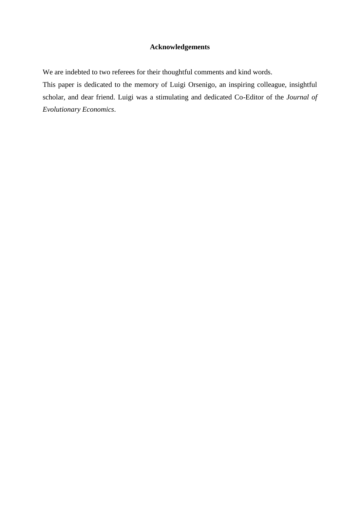# **Acknowledgements**

We are indebted to two referees for their thoughtful comments and kind words.

This paper is dedicated to the memory of Luigi Orsenigo, an inspiring colleague, insightful scholar, and dear friend. Luigi was a stimulating and dedicated Co-Editor of the *Journal of Evolutionary Economics*.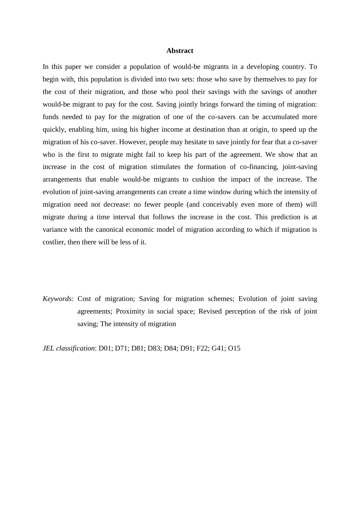#### **Abstract**

In this paper we consider a population of would-be migrants in a developing country. To begin with, this population is divided into two sets: those who save by themselves to pay for the cost of their migration, and those who pool their savings with the savings of another would-be migrant to pay for the cost. Saving jointly brings forward the timing of migration: funds needed to pay for the migration of one of the co-savers can be accumulated more quickly, enabling him, using his higher income at destination than at origin, to speed up the migration of his co-saver. However, people may hesitate to save jointly for fear that a co-saver who is the first to migrate might fail to keep his part of the agreement. We show that an increase in the cost of migration stimulates the formation of co-financing, joint-saving arrangements that enable would-be migrants to cushion the impact of the increase. The evolution of joint-saving arrangements can create a time window during which the intensity of migration need not decrease: no fewer people (and conceivably even more of them) will migrate during a time interval that follows the increase in the cost. This prediction is at variance with the canonical economic model of migration according to which if migration is costlier, then there will be less of it.

*Keywords*: Cost of migration; Saving for migration schemes; Evolution of joint saving agreements; Proximity in social space; Revised perception of the risk of joint saving; The intensity of migration

*JEL classification*: D01; D71; D81; D83; D84; D91; F22; G41; O15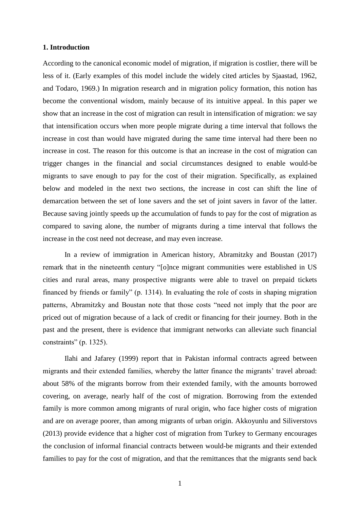# **1. Introduction**

According to the canonical economic model of migration, if migration is costlier, there will be less of it. (Early examples of this model include the widely cited articles by Sjaastad, 1962, and Todaro, 1969.) In migration research and in migration policy formation, this notion has become the conventional wisdom, mainly because of its intuitive appeal. In this paper we show that an increase in the cost of migration can result in intensification of migration: we say that intensification occurs when more people migrate during a time interval that follows the increase in cost than would have migrated during the same time interval had there been no increase in cost. The reason for this outcome is that an increase in the cost of migration can trigger changes in the financial and social circumstances designed to enable would-be migrants to save enough to pay for the cost of their migration. Specifically, as explained below and modeled in the next two sections, the increase in cost can shift the line of demarcation between the set of lone savers and the set of joint savers in favor of the latter. Because saving jointly speeds up the accumulation of funds to pay for the cost of migration as compared to saving alone, the number of migrants during a time interval that follows the increase in the cost need not decrease, and may even increase.

In a review of immigration in American history, Abramitzky and Boustan (2017) remark that in the nineteenth century "[o]nce migrant communities were established in US cities and rural areas, many prospective migrants were able to travel on prepaid tickets financed by friends or family" (p. 1314). In evaluating the role of costs in shaping migration patterns, Abramitzky and Boustan note that those costs "need not imply that the poor are priced out of migration because of a lack of credit or financing for their journey. Both in the past and the present, there is evidence that immigrant networks can alleviate such financial constraints" (p. 1325).

Ilahi and Jafarey (1999) report that in Pakistan informal contracts agreed between migrants and their extended families, whereby the latter finance the migrants' travel abroad: about 58% of the migrants borrow from their extended family, with the amounts borrowed covering, on average, nearly half of the cost of migration. Borrowing from the extended family is more common among migrants of rural origin, who face higher costs of migration and are on average poorer, than among migrants of urban origin. Akkoyunlu and Siliverstovs (2013) provide evidence that a higher cost of migration from Turkey to Germany encourages the conclusion of informal financial contracts between would-be migrants and their extended families to pay for the cost of migration, and that the remittances that the migrants send back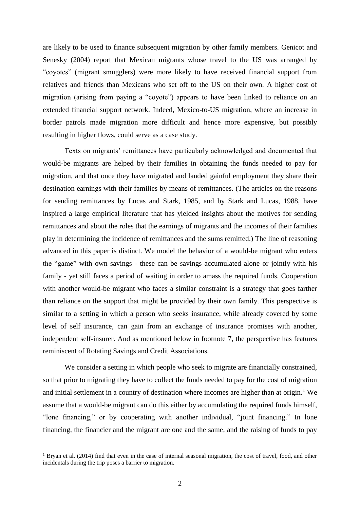are likely to be used to finance subsequent migration by other family members. Genicot and Senesky (2004) report that Mexican migrants whose travel to the US was arranged by "coyotes" (migrant smugglers) were more likely to have received financial support from relatives and friends than Mexicans who set off to the US on their own. A higher cost of migration (arising from paying a "coyote") appears to have been linked to reliance on an extended financial support network. Indeed, Mexico-to-US migration, where an increase in border patrols made migration more difficult and hence more expensive, but possibly resulting in higher flows, could serve as a case study.

Texts on migrants' remittances have particularly acknowledged and documented that would-be migrants are helped by their families in obtaining the funds needed to pay for migration, and that once they have migrated and landed gainful employment they share their destination earnings with their families by means of remittances. (The articles on the reasons for sending remittances by Lucas and Stark, 1985, and by Stark and Lucas, 1988, have inspired a large empirical literature that has yielded insights about the motives for sending remittances and about the roles that the earnings of migrants and the incomes of their families play in determining the incidence of remittances and the sums remitted.) The line of reasoning advanced in this paper is distinct. We model the behavior of a would-be migrant who enters the "game" with own savings - these can be savings accumulated alone or jointly with his family - yet still faces a period of waiting in order to amass the required funds. Cooperation with another would-be migrant who faces a similar constraint is a strategy that goes farther than reliance on the support that might be provided by their own family. This perspective is similar to a setting in which a person who seeks insurance, while already covered by some level of self insurance, can gain from an exchange of insurance promises with another, independent self-insurer. And as mentioned below in footnote 7, the perspective has features reminiscent of Rotating Savings and Credit Associations.

We consider a setting in which people who seek to migrate are financially constrained, so that prior to migrating they have to collect the funds needed to pay for the cost of migration and initial settlement in a country of destination where incomes are higher than at origin.<sup>1</sup> We assume that a would-be migrant can do this either by accumulating the required funds himself, "lone financing," or by cooperating with another individual, "joint financing." In lone financing, the financier and the migrant are one and the same, and the raising of funds to pay

<u>.</u>

<sup>&</sup>lt;sup>1</sup> Bryan et al. (2014) find that even in the case of internal seasonal migration, the cost of travel, food, and other incidentals during the trip poses a barrier to migration.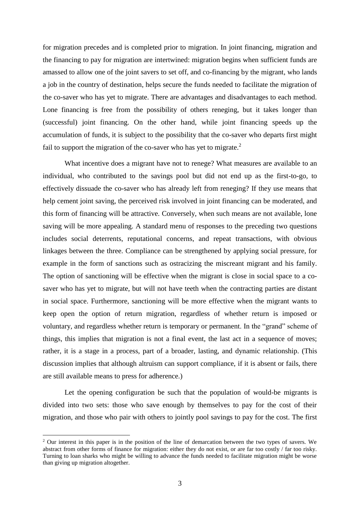for migration precedes and is completed prior to migration. In joint financing, migration and the financing to pay for migration are intertwined: migration begins when sufficient funds are amassed to allow one of the joint savers to set off, and co-financing by the migrant, who lands a job in the country of destination, helps secure the funds needed to facilitate the migration of the co-saver who has yet to migrate. There are advantages and disadvantages to each method. Lone financing is free from the possibility of others reneging, but it takes longer than (successful) joint financing. On the other hand, while joint financing speeds up the accumulation of funds, it is subject to the possibility that the co-saver who departs first might fail to support the migration of the co-saver who has yet to migrate. $2$ 

What incentive does a migrant have not to renege? What measures are available to an individual, who contributed to the savings pool but did not end up as the first-to-go, to effectively dissuade the co-saver who has already left from reneging? If they use means that help cement joint saving, the perceived risk involved in joint financing can be moderated, and this form of financing will be attractive. Conversely, when such means are not available, lone saving will be more appealing. A standard menu of responses to the preceding two questions includes social deterrents, reputational concerns, and repeat transactions, with obvious linkages between the three. Compliance can be strengthened by applying social pressure, for example in the form of sanctions such as ostracizing the miscreant migrant and his family. The option of sanctioning will be effective when the migrant is close in social space to a cosaver who has yet to migrate, but will not have teeth when the contracting parties are distant in social space. Furthermore, sanctioning will be more effective when the migrant wants to keep open the option of return migration, regardless of whether return is imposed or voluntary, and regardless whether return is temporary or permanent. In the "grand" scheme of things, this implies that migration is not a final event, the last act in a sequence of moves; rather, it is a stage in a process, part of a broader, lasting, and dynamic relationship. (This discussion implies that although altruism can support compliance, if it is absent or fails, there are still available means to press for adherence.)

Let the opening configuration be such that the population of would-be migrants is divided into two sets: those who save enough by themselves to pay for the cost of their migration, and those who pair with others to jointly pool savings to pay for the cost. The first

1

<sup>&</sup>lt;sup>2</sup> Our interest in this paper is in the position of the line of demarcation between the two types of savers. We abstract from other forms of finance for migration: either they do not exist, or are far too costly / far too risky. Turning to loan sharks who might be willing to advance the funds needed to facilitate migration might be worse than giving up migration altogether.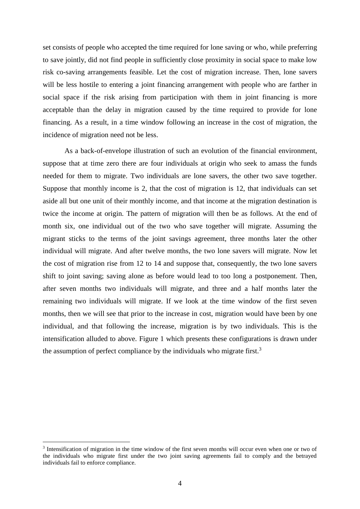set consists of people who accepted the time required for lone saving or who, while preferring to save jointly, did not find people in sufficiently close proximity in social space to make low risk co-saving arrangements feasible. Let the cost of migration increase. Then, lone savers will be less hostile to entering a joint financing arrangement with people who are farther in social space if the risk arising from participation with them in joint financing is more acceptable than the delay in migration caused by the time required to provide for lone financing. As a result, in a time window following an increase in the cost of migration, the incidence of migration need not be less.

As a back-of-envelope illustration of such an evolution of the financial environment, suppose that at time zero there are four individuals at origin who seek to amass the funds needed for them to migrate. Two individuals are lone savers, the other two save together. Suppose that monthly income is 2, that the cost of migration is 12, that individuals can set aside all but one unit of their monthly income, and that income at the migration destination is twice the income at origin. The pattern of migration will then be as follows. At the end of month six, one individual out of the two who save together will migrate. Assuming the migrant sticks to the terms of the joint savings agreement, three months later the other individual will migrate. And after twelve months, the two lone savers will migrate. Now let the cost of migration rise from 12 to 14 and suppose that, consequently, the two lone savers shift to joint saving; saving alone as before would lead to too long a postponement. Then, after seven months two individuals will migrate, and three and a half months later the remaining two individuals will migrate. If we look at the time window of the first seven months, then we will see that prior to the increase in cost, migration would have been by one individual, and that following the increase, migration is by two individuals. This is the intensification alluded to above. Figure 1 which presents these configurations is drawn under the assumption of perfect compliance by the individuals who migrate first.<sup>3</sup>

1

<sup>&</sup>lt;sup>3</sup> Intensification of migration in the time window of the first seven months will occur even when one or two of the individuals who migrate first under the two joint saving agreements fail to comply and the betrayed individuals fail to enforce compliance.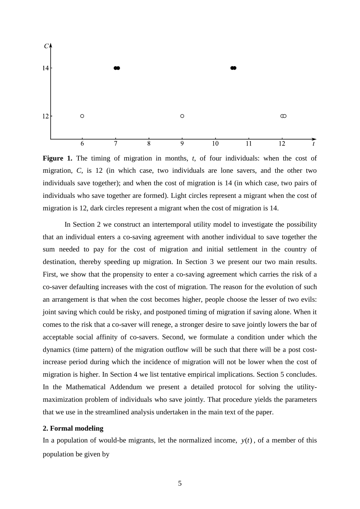

Figure 1. The timing of migration in months, *t*, of four individuals: when the cost of migration, *C*, is 12 (in which case, two individuals are lone savers, and the other two individuals save together); and when the cost of migration is 14 (in which case, two pairs of individuals who save together are formed). Light circles represent a migrant when the cost of migration is 12, dark circles represent a migrant when the cost of migration is 14.

In Section 2 we construct an intertemporal utility model to investigate the possibility that an individual enters a co-saving agreement with another individual to save together the sum needed to pay for the cost of migration and initial settlement in the country of destination, thereby speeding up migration. In Section 3 we present our two main results. First, we show that the propensity to enter a co-saving agreement which carries the risk of a co-saver defaulting increases with the cost of migration. The reason for the evolution of such an arrangement is that when the cost becomes higher, people choose the lesser of two evils: joint saving which could be risky, and postponed timing of migration if saving alone. When it comes to the risk that a co-saver will renege, a stronger desire to save jointly lowers the bar of acceptable social affinity of co-savers. Second, we formulate a condition under which the dynamics (time pattern) of the migration outflow will be such that there will be a post costincrease period during which the incidence of migration will not be lower when the cost of migration is higher. In Section 4 we list tentative empirical implications. Section 5 concludes. In the Mathematical Addendum we present a detailed protocol for solving the utilitymaximization problem of individuals who save jointly. That procedure yields the parameters that we use in the streamlined analysis undertaken in the main text of the paper.

# **2. Formal modeling**

In a population of would-be migrants, let the normalized income,  $y(t)$ , of a member of this population be given by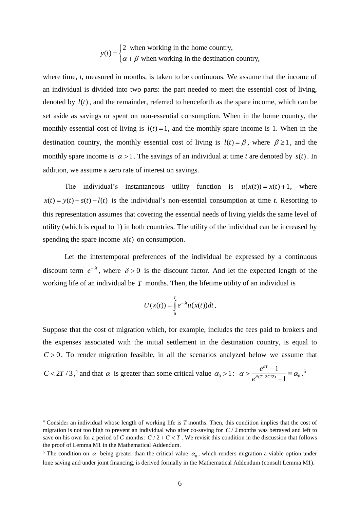2 when working in the home country,  $(t)$  $y(t) = \begin{cases} \alpha + \beta & \text{when working in the destination country,} \end{cases}$  $=\bigg\{$ l

where time, *t*, measured in months, is taken to be continuous. We assume that the income of an individual is divided into two parts: the part needed to meet the essential cost of living, denoted by  $l(t)$ , and the remainder, referred to henceforth as the spare income, which can be set aside as savings or spent on non-essential consumption. When in the home country, the monthly essential cost of living is  $l(t) = 1$ , and the monthly spare income is 1. When in the destination country, the monthly essential cost of living is  $l(t) = \beta$ , where  $\beta \ge 1$ , and the monthly spare income is  $\alpha > 1$ . The savings of an individual at time *t* are denoted by  $s(t)$ . In addition, we assume a zero rate of interest on savings.

The individual's instantaneous utility function is  $u(x(t)) = x(t) + 1$ , where  $x(t) = y(t) - s(t) - l(t)$  is the individual's non-essential consumption at time *t*. Resorting to this representation assumes that covering the essential needs of living yields the same level of utility (which is equal to 1) in both countries. The utility of the individual can be increased by spending the spare income  $x(t)$  on consumption.

Let the intertemporal preferences of the individual be expressed by a continuous discount term  $e^{-\delta t}$ , where  $\delta > 0$  is the discount factor. And let the expected length of the working life of an individual be  $T$  months. Then, the lifetime utility of an individual is

$$
U(x(t))=\int\limits_{0}^{T}e^{-\delta t}u(x(t))dt.
$$

Suppose that the cost of migration which, for example, includes the fees paid to brokers and the expenses associated with the initial settlement in the destination country, is equal to  $C > 0$ . To render migration feasible, in all the scenarios analyzed below we assume that

 $C < 2T/3$ ,<sup>4</sup> and that  $\alpha$  is greater than some critical value  $\alpha_0 > 1$ :  $\alpha > \frac{e^{\alpha_0}}{e^{\delta(T-3C/2)}} \frac{1}{1} = \alpha_0$ 1 1 *T*  $T - 3C$ *e e*  $\alpha > \frac{e^{\delta T}-1}{e^{\delta(T-3C/2)}-1} \equiv \alpha_0.$  $> \frac{e^{\delta T} - 1}{\delta (T - 3C)} \equiv \alpha_0^{-5}$ 

1

<sup>4</sup> Consider an individual whose length of working life is *T* months. Then, this condition implies that the cost of migration is not too high to prevent an individual who after co-saving for  $C/2$  months was betrayed and left to save on his own for a period of C months:  $C/2 + C < T$ . We revisit this condition in the discussion that follows the proof of Lemma M1 in the Mathematical Addendum.

<sup>&</sup>lt;sup>5</sup> The condition on  $\alpha$  being greater than the critical value  $\alpha_0$ , which renders migration a viable option under lone saving and under joint financing, is derived formally in the Mathematical Addendum (consult Lemma M1).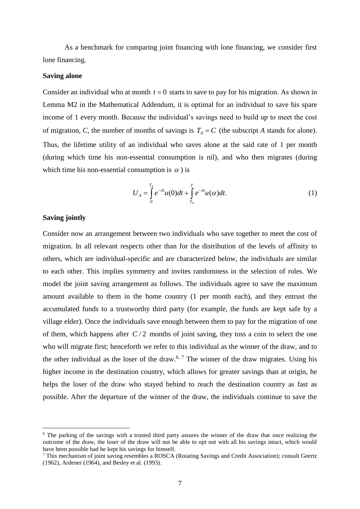As a benchmark for comparing joint financing with lone financing, we consider first lone financing.

# **Saving alone**

Consider an individual who at month  $t = 0$  starts to save to pay for his migration. As shown in Lemma M2 in the Mathematical Addendum, it is optimal for an individual to save his spare income of 1 every month. Because the individual's savings need to build up to meet the cost of migration, *C*, the number of months of savings is  $T_A = C$  (the subscript *A* stands for alone). Thus, the lifetime utility of an individual who saves alone at the said rate of 1 per month (during which time his non-essential consumption is nil), and who then migrates (during which time his non-essential consumption is  $\alpha$ ) is

$$
U_A = \int_0^{T_A} e^{-\delta t} u(0) dt + \int_{T_A}^T e^{-\delta t} u(\alpha) dt.
$$
 (1)

# **Saving jointly**

1

Consider now an arrangement between two individuals who save together to meet the cost of migration. In all relevant respects other than for the distribution of the levels of affinity to others, which are individual-specific and are characterized below, the individuals are similar to each other. This implies symmetry and invites randomness in the selection of roles. We model the joint saving arrangement as follows. The individuals agree to save the maximum amount available to them in the home country (1 per month each), and they entrust the accumulated funds to a trustworthy third party (for example, the funds are kept safe by a village elder). Once the individuals save enough between them to pay for the migration of one of them, which happens after  $C/2$  months of joint saving, they toss a coin to select the one who will migrate first; henceforth we refer to this individual as the winner of the draw, and to the other individual as the loser of the draw.<sup>6, 7</sup> The winner of the draw migrates. Using his higher income in the destination country, which allows for greater savings than at origin, he helps the loser of the draw who stayed behind to reach the destination country as fast as possible. After the departure of the winner of the draw, the individuals continue to save the

<sup>&</sup>lt;sup>6</sup> The parking of the savings with a trusted third party assures the winner of the draw that once realizing the outcome of the draw, the loser of the draw will not be able to opt out with all his savings intact, which would have been possible had he kept his savings for himself.

<sup>7</sup> This mechanism of joint saving resembles a ROSCA (Rotating Savings and Credit Association); consult Geertz (1962), Ardener (1964), and Besley et al. (1993).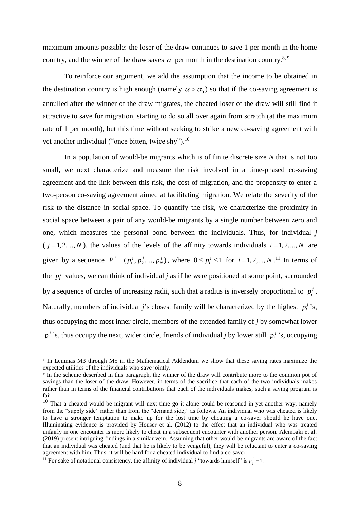maximum amounts possible: the loser of the draw continues to save 1 per month in the home country, and the winner of the draw saves  $\alpha$  per month in the destination country.<sup>8, 9</sup>

To reinforce our argument, we add the assumption that the income to be obtained in the destination country is high enough (namely  $\alpha > \alpha_0$ ) so that if the co-saving agreement is annulled after the winner of the draw migrates, the cheated loser of the draw will still find it attractive to save for migration, starting to do so all over again from scratch (at the maximum rate of 1 per month), but this time without seeking to strike a new co-saving agreement with yet another individual ("once bitten, twice shy").<sup>10</sup>

In a population of would-be migrants which is of finite discrete size *N* that is not too small, we next characterize and measure the risk involved in a time-phased co-saving agreement and the link between this risk, the cost of migration, and the propensity to enter a two-person co-saving agreement aimed at facilitating migration. We relate the severity of the risk to the distance in social space. To quantify the risk, we characterize the proximity in social space between a pair of any would-be migrants by a single number between zero and one, which measures the personal bond between the individuals. Thus, for individual *j*  $(j = 1, 2, \ldots, N)$ , the values of the levels of the affinity towards individuals  $i = 1, 2, \ldots, N$  are given by a sequence  $P^j = (p_1^j, p_2^j, ..., p_N^j)$ , where  $0 \le p_i^j \le 1$  for  $i = 1, 2, ..., N$ .<sup>11</sup> In terms of the  $p_i^j$  values, we can think of individual *j* as if he were positioned at some point, surrounded by a sequence of circles of increasing radii, such that a radius is inversely proportional to  $p_i^j$ . Naturally, members of individual *j*'s closest family will be characterized by the highest  $p_i^j$ 's, thus occupying the most inner circle, members of the extended family of *j* by somewhat lower  $p_i^j$  's, thus occupy the next, wider circle, friends of individual *j* by lower still  $p_i^j$  's, occupying

1

<sup>8</sup> In Lemmas M3 through M5 in the Mathematical Addendum we show that these saving rates maximize the expected utilities of the individuals who save jointly.

<sup>&</sup>lt;sup>9</sup> In the scheme described in this paragraph, the winner of the draw will contribute more to the common pot of savings than the loser of the draw. However, in terms of the sacrifice that each of the two individuals makes rather than in terms of the financial contributions that each of the individuals makes, such a saving program is fair.

 $10$  That a cheated would-be migrant will next time go it alone could be reasoned in yet another way, namely from the "supply side" rather than from the "demand side," as follows. An individual who was cheated is likely to have a stronger temptation to make up for the lost time by cheating a co-saver should he have one. Illuminating evidence is provided by Houser et al. (2012) to the effect that an individual who was treated unfairly in one encounter is more likely to cheat in a subsequent encounter with another person. Alempaki et al. (2019) present intriguing findings in a similar vein. Assuming that other would-be migrants are aware of the fact that an individual was cheated (and that he is likely to be vengeful), they will be reluctant to enter a co-saving agreement with him. Thus, it will be hard for a cheated individual to find a co-saver.

<sup>&</sup>lt;sup>11</sup> For sake of notational consistency, the affinity of individual *j* "towards himself" is  $p_j^j = 1$ .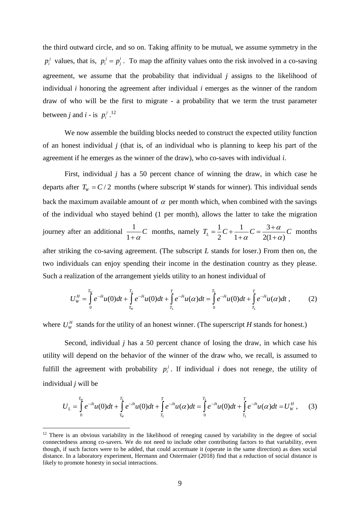the third outward circle, and so on. Taking affinity to be mutual, we assume symmetry in the  $p_i^j$  values, that is,  $p_i^j = p_j^i$  $p_i^j = p_i^i$ . To map the affinity values onto the risk involved in a co-saving agreement, we assume that the probability that individual *j* assigns to the likelihood of individual *i* honoring the agreement after individual *i* emerges as the winner of the random draw of who will be the first to migrate - a probability that we term the trust parameter between *j* and *i* - is  $p_i^j$ .<sup>12</sup>

We now assemble the building blocks needed to construct the expected utility function of an honest individual *j* (that is, of an individual who is planning to keep his part of the agreement if he emerges as the winner of the draw), who co-saves with individual *i*.

First, individual *j* has a 50 percent chance of winning the draw, in which case he departs after  $T_w = C/2$  months (where subscript *W* stands for winner). This individual sends back the maximum available amount of  $\alpha$  per month which, when combined with the savings of the individual who stayed behind (1 per month), allows the latter to take the migration journey after an additional  $\frac{1}{1}$ 1 *C*  $\frac{1}{1+\alpha}C$  months, namely  $T_L = \frac{1}{2}C + \frac{1}{1+\alpha}C = \frac{3}{2(1+\alpha)}$ 2  $1 + \alpha$  2(1+ $\alpha$ )  $T_{L} = \frac{1}{2}C + \frac{1}{2C} = \frac{3+\alpha}{2\alpha C}C$  $\alpha$  2(1+ $\alpha$ )  $= -C + \frac{1}{c} = \frac{3+C}{c}$  $\frac{1}{+\alpha}C = \frac{3+\alpha}{2(1+\alpha)}C$  months after striking the co-saving agreement. (The subscript *L* stands for loser.) From then on, the two individuals can enjoy spending their income in the destination country as they please. Such a realization of the arrangement yields utility to an honest individual of

$$
U_{w}^{H} = \int_{0}^{T_{w}} e^{-\delta t} u(0) dt + \int_{T_{w}}^{T_{L}} e^{-\delta t} u(0) dt + \int_{T_{L}}^{T} e^{-\delta t} u(\alpha) dt = \int_{0}^{T_{L}} e^{-\delta t} u(0) dt + \int_{T_{L}}^{T} e^{-\delta t} u(\alpha) dt,
$$
 (2)

where  $U^H_w$  stands for the utility of an honest winner. (The superscript *H* stands for honest.)

Second, individual *j* has a 50 percent chance of losing the draw, in which case his utility will depend on the behavior of the winner of the draw who, we recall, is assumed to fulfill the agreement with probability  $p_i^j$ . If individual *i* does not renege, the utility of individual *j* will be

$$
U_{L} = \int_{0}^{T_{W}} e^{-\delta t} u(0) dt + \int_{T_{W}}^{T_{L}} e^{-\delta t} u(0) dt + \int_{T_{L}}^{T} e^{-\delta t} u(\alpha) dt = \int_{0}^{T_{L}} e^{-\delta t} u(0) dt + \int_{T_{L}}^{T} e^{-\delta t} u(\alpha) dt = U_{W}^{H}, \quad (3)
$$

1

<sup>&</sup>lt;sup>12</sup> There is an obvious variability in the likelihood of reneging caused by variability in the degree of social connectedness among co-savers. We do not need to include other contributing factors to that variability, even though, if such factors were to be added, that could accentuate it (operate in the same direction) as does social distance. In a laboratory experiment, Hermann and Ostermaier (2018) find that a reduction of social distance is likely to promote honesty in social interactions.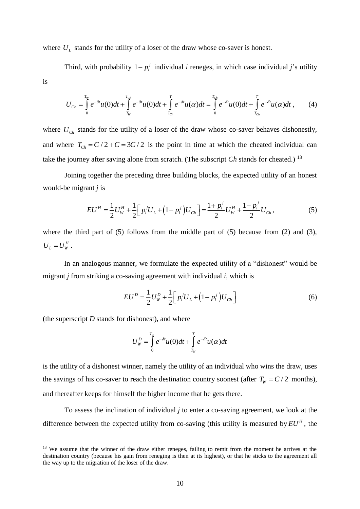where  $U_L$  stands for the utility of a loser of the draw whose co-saver is honest.

Third, with probability  $1 - p_i^j$  individual *i* reneges, in which case individual *j*'s utility is

$$
U_{Ch} = \int_{0}^{T_W} e^{-\delta t} u(0) dt + \int_{T_W}^{T_{Ch}} e^{-\delta t} u(0) dt + \int_{T_{Ch}}^{T} e^{-\delta t} u(\alpha) dt = \int_{0}^{T_{Ch}} e^{-\delta t} u(0) dt + \int_{T_{Ch}}^{T} e^{-\delta t} u(\alpha) dt,
$$
 (4)

where  $U_{ch}$  stands for the utility of a loser of the draw whose co-saver behaves dishonestly, and where  $T_{Ch} = C/2 + C = 3C/2$  is the point in time at which the cheated individual can take the journey after saving alone from scratch. (The subscript *Ch* stands for cheated.)<sup>13</sup>

Joining together the preceding three building blocks, the expected utility of an honest would-be migrant *j* is

$$
EU^H = \frac{1}{2}U_W^H + \frac{1}{2}\Big[p_i^jU_L + \left(1 - p_i^j\right)U_{Ch}\Big] = \frac{1 + p_i^j}{2}U_W^H + \frac{1 - p_i^j}{2}U_{Ch},\tag{5}
$$

where the third part of (5) follows from the middle part of (5) because from (2) and (3),  $U_{L} = U_{W}^{H}$ .

In an analogous manner, we formulate the expected utility of a "dishonest" would-be migrant *j* from striking a co-saving agreement with individual *i*, which is

$$
EU^D = \frac{1}{2}U_W^D + \frac{1}{2}\Big[p_i^j U_L + (1 - p_i^j)U_{Ch}\Big]
$$
 (6)

(the superscript *D* stands for dishonest), and where

1

$$
U_{w}^{D} = \int_{0}^{T_{w}} e^{-\delta t} u(0) dt + \int_{T_{w}}^{T} e^{-\delta t} u(\alpha) dt
$$

is the utility of a dishonest winner, namely the utility of an individual who wins the draw, uses the savings of his co-saver to reach the destination country soonest (after  $T_w = C/2$  months), and thereafter keeps for himself the higher income that he gets there.

To assess the inclination of individual *j* to enter a co-saving agreement, we look at the difference between the expected utility from co-saving (this utility is measured by  $EU^H$ , the

<sup>&</sup>lt;sup>13</sup> We assume that the winner of the draw either reneges, failing to remit from the moment he arrives at the destination country (because his gain from reneging is then at its highest), or that he sticks to the agreement all the way up to the migration of the loser of the draw.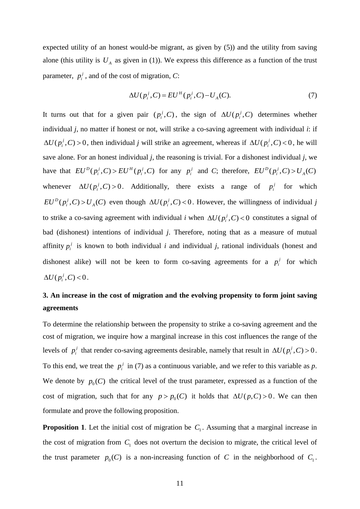expected utility of an honest would-be migrant, as given by (5)) and the utility from saving alone (this utility is  $U_A$  as given in (1)). We express this difference as a function of the trust parameter,  $p_i^j$ , and of the cost of migration, *C*:

$$
\Delta U(p_i^j, C) = EU^H(p_i^j, C) - U_A(C). \tag{7}
$$

It turns out that for a given pair  $(p_i^j, C)$ , the sign of  $\Delta U(p_i^j, C)$  determines whether individual *j*, no matter if honest or not, will strike a co-saving agreement with individual *i*: if  $\Delta U(p_i^j, C) > 0$ , then individual *j* will strike an agreement, whereas if  $\Delta U(p_i^j, C) < 0$ , he will save alone. For an honest individual *j*, the reasoning is trivial. For a dishonest individual *j*, we have that  $EU^D(p_i^j, C) > EU^H(p_i^j, C)$  for any  $p_i^j$  and C; therefore,  $EU^D(p_i^j, C) > U_A(C)$ whenever  $\Delta U(p_i^j, C) > 0$ . Additionally, there exists a range of  $p_i^j$  for which  $EU^D(p_i^j, C) > U_A(C)$  even though  $\Delta U(p_i^j, C) < 0$ . However, the willingness of individual j to strike a co-saving agreement with individual *i* when  $\Delta U(p_i^j, C) < 0$  constitutes a signal of bad (dishonest) intentions of individual *j*. Therefore, noting that as a measure of mutual affinity  $p_i^j$  is known to both individual *i* and individual *j*, rational individuals (honest and dishonest alike) will not be keen to form co-saving agreements for a  $p_i^j$  for which  $\Delta U(p_i^j, C) < 0$ .

# **3. An increase in the cost of migration and the evolving propensity to form joint saving agreements**

To determine the relationship between the propensity to strike a co-saving agreement and the cost of migration, we inquire how a marginal increase in this cost influences the range of the levels of  $p_i^j$  that render co-saving agreements desirable, namely that result in  $\Delta U(p_i^j, C) > 0$ . To this end, we treat the  $p_i^j$  in (7) as a continuous variable, and we refer to this variable as p. We denote by  $p_0(C)$  the critical level of the trust parameter, expressed as a function of the cost of migration, such that for any  $p > p_0(C)$  it holds that  $\Delta U(p, C) > 0$ . We can then formulate and prove the following proposition.

**Proposition 1.** Let the initial cost of migration be  $C_1$ . Assuming that a marginal increase in the cost of migration from  $C_1$  does not overturn the decision to migrate, the critical level of the trust parameter  $p_0(C)$  is a non-increasing function of C in the neighborhood of  $C_1$ .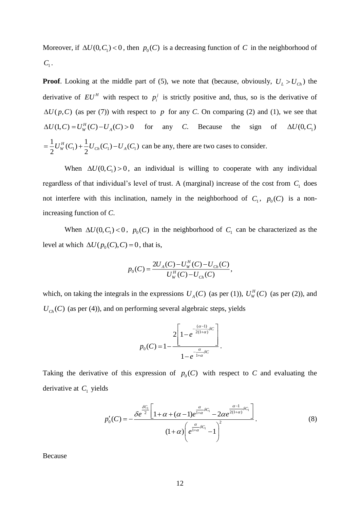Moreover, if  $\Delta U(0, C_1) < 0$ , then  $p_0(C)$  is a decreasing function of C in the neighborhood of  $C_{1}$ .

**Proof**. Looking at the middle part of (5), we note that (because, obviously,  $U_L > U_{Ch}$ ) the derivative of  $EU^H$  with respect to  $p_i^j$  is strictly positive and, thus, so is the derivative of  $\Delta U(p, C)$  (as per (7)) with respect to p for any *C*. On comparing (2) and (1), we see that  $\Delta U(1, C) = U_W^H(C) - U_A(C) > 0$ any *C*. Because the sign of  $\Delta U(0, C)$  $\frac{1}{2}U_{W}^{H}(C_{1})+\frac{1}{2}U_{Ch}(C_{1})-U_{A}(C_{1})$  $\frac{1}{2}U_{W}^{H}(C_{1})+\frac{1}{2}$  $=\frac{1}{2}U_{W}^{H}(C_{1})+\frac{1}{2}U_{Ch}(C_{1})-U_{A}(C_{1})$  can be any, there are two cases to consider.

When  $\Delta U(0, C_1) > 0$ , an individual is willing to cooperate with any individual regardless of that individual's level of trust. A (marginal) increase of the cost from  $C_1$  does not interfere with this inclination, namely in the neighborhood of  $C_1$ ,  $p_0(C)$  is a nonincreasing function of *C*.

When  $\Delta U(0, C_1) < 0$ ,  $p_0(C)$  in the neighborhood of  $C_1$  can be characterized as the level at which  $\Delta U(p_0(C), C) = 0$ , that is,

$$
p_0(C) = \frac{2U_A(C) - U_W^H(C) - U_{Ch}(C)}{U_W^H(C) - U_{Ch}(C)},
$$

which, on taking the integrals in the expressions  $U_A(C)$  (as per (1)),  $U_W^H(C)$  (as per (2)), and  $U_{\text{Ch}}(C)$  (as per (4)), and on performing several algebraic steps, yields

$$
p_0(C) = 1 - \frac{2\left[1 - e^{-\frac{(\alpha - 1)}{2(1+\alpha)}\delta C}\right]}{1 - e^{-\frac{\alpha}{1+\alpha}\delta C}}.
$$

Taking the derivative of this expression of  $p_0(C)$  with respect to *C* and evaluating the derivative at C<sub>1</sub> yields

$$
p'_{0}(C) = -\frac{\delta e^{\frac{\delta C_{1}}{2}\left[1+\alpha+(\alpha-1)e^{\frac{\alpha}{1+\alpha}\delta C_{1}}-2\alpha e^{\frac{\alpha-1}{2(1+\alpha)}\delta C_{1}}\right]}}{(1+\alpha)\left(e^{\frac{\alpha}{1+\alpha}\delta C_{1}}-1\right)^{2}}.
$$
\n(8)

Because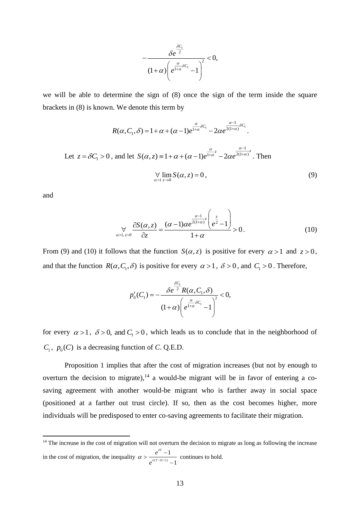$$
-\frac{\delta e^{\frac{\delta C_1}{2}}}{(1+\alpha)\left(e^{\frac{\alpha}{1+\alpha}\delta C_1}-1\right)^2}<0,
$$

we will be able to determine the sign of (8) once the sign of the term inside the square brackets in (8) is known. We denote this term by

$$
R(\alpha, C_1, \delta) = 1 + \alpha + (\alpha - 1)e^{\frac{\alpha}{1 + \alpha}\delta C_1} - 2\alpha e^{\frac{\alpha - 1}{2(1 + \alpha)}\delta C_1}.
$$

Let  $z = \delta C_1 > 0$ , and let 1  $S(\alpha, z) = 1 + \alpha + (\alpha - 1)e^{\frac{z}{1 + \alpha^2}} - 2\alpha e^{\frac{z}{2(1 + \alpha)^2}}$  $\alpha$  a  $(\alpha, z) = 1 + \alpha + (\alpha - 1)e^{1+\alpha} - 2\alpha e^{2(1+\alpha)}$  $\equiv 1 + \alpha + (\alpha - 1)e^{\frac{\alpha}{1 + \alpha}z} - 2\alpha e^{\frac{\alpha - 1}{2(1 + \alpha)}z}$ . Then

$$
\forall \lim_{\alpha>1} S(\alpha, z) = 0,
$$
\n(9)

and

1

$$
\bigvee_{\alpha>1, z>0} \frac{\partial S(\alpha, z)}{\partial z} = \frac{(\alpha - 1)\alpha e^{\frac{\alpha - 1}{2(1+\alpha)^2}} \left(e^{\frac{z}{2}} - 1\right)}{1 + \alpha} > 0.
$$
 (10)

From (9) and (10) it follows that the function  $S(\alpha, z)$  is positive for every  $\alpha > 1$  and  $z > 0$ , and that the function  $R(\alpha, C_1, \delta)$  is positive for every  $\alpha > 1$ ,  $\delta > 0$ , and  $C_1 > 0$ . Therefore,

$$
p'_{0}(C_{1})=-\frac{\delta e^{\frac{\delta C_{1}}{2}}R(\alpha, C_{1}, \delta)}{(1+\alpha)\left(e^{\frac{\alpha}{1+\alpha}\delta C_{1}}-1\right)^{2}}<0,
$$

for every  $\alpha > 1$ ,  $\delta > 0$ , and  $C_1 > 0$ , which leads us to conclude that in the neighborhood of  $C_1$ ,  $p_0$ (*C*) is a decreasing function of *C*. Q.E.D.

Proposition 1 implies that after the cost of migration increases (but not by enough to overturn the decision to migrate),<sup>14</sup> a would-be migrant will be in favor of entering a cosaving agreement with another would-be migrant who is farther away in social space (positioned at a farther out trust circle). If so, then as the cost becomes higher, more individuals will be predisposed to enter co-saving agreements to facilitate their migration.

*e*

<sup>&</sup>lt;sup>14</sup> The increase in the cost of migration will not overturn the decision to migrate as long as following the increase in the cost of migration, the inequality  $\alpha > \frac{1}{e^{\delta(T-3C/2)}-1}$  $T-1$ *T C e* δ  $\alpha > \frac{1}{\delta(T-1)}$  $>\frac{e^{-\frac{1}{2}}}{e^{\delta(T^{-3}C/2)}-1}$  continues to hold.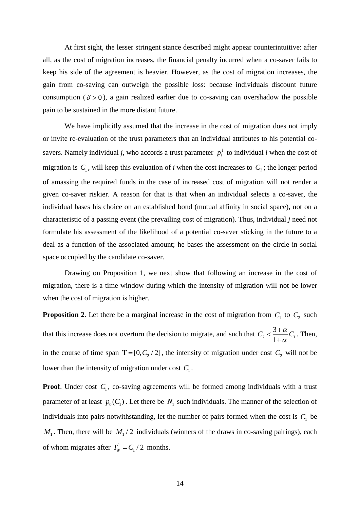At first sight, the lesser stringent stance described might appear counterintuitive: after all, as the cost of migration increases, the financial penalty incurred when a co-saver fails to keep his side of the agreement is heavier. However, as the cost of migration increases, the gain from co-saving can outweigh the possible loss: because individuals discount future consumption ( $\delta$  > 0), a gain realized earlier due to co-saving can overshadow the possible pain to be sustained in the more distant future.

We have implicitly assumed that the increase in the cost of migration does not imply or invite re-evaluation of the trust parameters that an individual attributes to his potential cosavers. Namely individual *j*, who accords a trust parameter  $p_i^j$  to individual *i* when the cost of migration is  $C_1$ , will keep this evaluation of *i* when the cost increases to  $C_2$ ; the longer period of amassing the required funds in the case of increased cost of migration will not render a given co-saver riskier. A reason for that is that when an individual selects a co-saver, the individual bases his choice on an established bond (mutual affinity in social space), not on a characteristic of a passing event (the prevailing cost of migration). Thus, individual *j* need not formulate his assessment of the likelihood of a potential co-saver sticking in the future to a deal as a function of the associated amount; he bases the assessment on the circle in social space occupied by the candidate co-saver.

Drawing on Proposition 1, we next show that following an increase in the cost of migration, there is a time window during which the intensity of migration will not be lower when the cost of migration is higher.

**Proposition 2.** Let there be a marginal increase in the cost of migration from  $C_1$  to  $C_2$  such that this increase does not overturn the decision to migrate, and such that  $C_2 < \frac{3+\alpha}{1+\alpha}C_1$  $C_2 < \frac{3+\alpha}{\alpha}C$  $\alpha$  $\frac{3+}{2}$  $+\frac{\alpha}{\alpha}C_1$ . Then, in the course of time span  $T = [0, C_2 / 2]$ , the intensity of migration under cost  $C_2$  will not be lower than the intensity of migration under cost  $C_1$ .

**Proof**. Under cost  $C_1$ , co-saving agreements will be formed among individuals with a trust parameter of at least  $p_0(C_1)$ . Let there be  $N_1$  such individuals. The manner of the selection of individuals into pairs notwithstanding, let the number of pairs formed when the cost is  $C_1$  be  $M_1$ . Then, there will be  $M_1/2$  individuals (winners of the draws in co-saving pairings), each of whom migrates after  $T_w^1$  $T_w^1 = C_1 / 2$  months.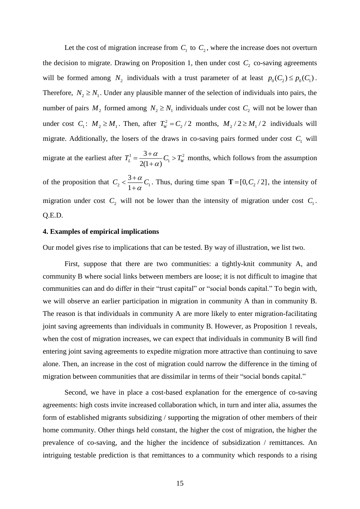Let the cost of migration increase from  $C_1$  to  $C_2$ , where the increase does not overturn the decision to migrate. Drawing on Proposition 1, then under cost  $C_2$  co-saving agreements will be formed among  $N_2$  individuals with a trust parameter of at least  $p_0(C_2) \leq p_0(C_1)$ . Therefore,  $N_2 \ge N_1$ . Under any plausible manner of the selection of individuals into pairs, the number of pairs  $M_2$  formed among  $N_2 \ge N_1$  individuals under cost  $C_2$  will not be lower than under cost  $C_1$ :  $M_2 \geq M_1$ . Then, after  $T_w^2$  $T_w^2 = C_2 / 2$  months,  $M_2 / 2 \ge M_1 / 2$  individuals will migrate. Additionally, the losers of the draws in co-saving pairs formed under cost  $C_1$  will migrate at the earliest after  $T_L^1 = \frac{3 + \alpha}{2} C_1 > T_w^2$ 3  $2(1+\alpha)$  $T_L^1 = \frac{3+\alpha}{2\alpha} C_1 > T_W^2$  $\alpha$  $=\frac{3+\alpha}{\alpha}C$  $\frac{du}{dx}C_1 > T_w^2$  months, which follows from the assumption of the proposition that  $C_2 < \frac{3+\alpha}{1+\alpha}C_1$  $C_1 < \frac{3+\alpha}{c}C$  $\alpha$  $\frac{3+}{2}$  $+\frac{\alpha}{\pi}C_1$ . Thus, during time span  $\mathbf{T} = [0, C_2/2]$ , the intensity of migration under cost  $C_2$  will not be lower than the intensity of migration under cost  $C_1$ . Q.E.D.

# **4. Examples of empirical implications**

Our model gives rise to implications that can be tested. By way of illustration, we list two.

First, suppose that there are two communities: a tightly-knit community A, and community B where social links between members are loose; it is not difficult to imagine that communities can and do differ in their "trust capital" or "social bonds capital." To begin with, we will observe an earlier participation in migration in community A than in community B. The reason is that individuals in community A are more likely to enter migration-facilitating joint saving agreements than individuals in community B. However, as Proposition 1 reveals, when the cost of migration increases, we can expect that individuals in community B will find entering joint saving agreements to expedite migration more attractive than continuing to save alone. Then, an increase in the cost of migration could narrow the difference in the timing of migration between communities that are dissimilar in terms of their "social bonds capital."

Second, we have in place a cost-based explanation for the emergence of co-saving agreements: high costs invite increased collaboration which, in turn and inter alia, assumes the form of established migrants subsidizing / supporting the migration of other members of their home community. Other things held constant, the higher the cost of migration, the higher the prevalence of co-saving, and the higher the incidence of subsidization / remittances. An intriguing testable prediction is that remittances to a community which responds to a rising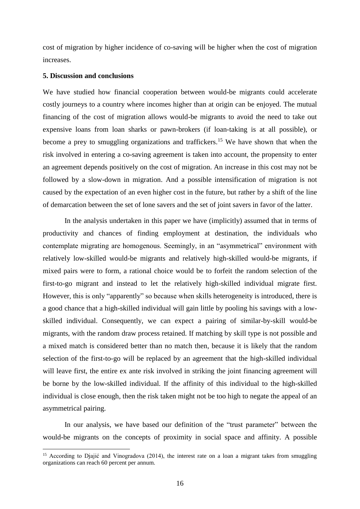cost of migration by higher incidence of co-saving will be higher when the cost of migration increases.

# **5. Discussion and conclusions**

<u>.</u>

We have studied how financial cooperation between would-be migrants could accelerate costly journeys to a country where incomes higher than at origin can be enjoyed. The mutual financing of the cost of migration allows would-be migrants to avoid the need to take out expensive loans from loan sharks or pawn-brokers (if loan-taking is at all possible), or become a prey to smuggling organizations and traffickers.<sup>15</sup> We have shown that when the risk involved in entering a co-saving agreement is taken into account, the propensity to enter an agreement depends positively on the cost of migration. An increase in this cost may not be followed by a slow-down in migration. And a possible intensification of migration is not caused by the expectation of an even higher cost in the future, but rather by a shift of the line of demarcation between the set of lone savers and the set of joint savers in favor of the latter.

In the analysis undertaken in this paper we have (implicitly) assumed that in terms of productivity and chances of finding employment at destination, the individuals who contemplate migrating are homogenous. Seemingly, in an "asymmetrical" environment with relatively low-skilled would-be migrants and relatively high-skilled would-be migrants, if mixed pairs were to form, a rational choice would be to forfeit the random selection of the first-to-go migrant and instead to let the relatively high-skilled individual migrate first. However, this is only "apparently" so because when skills heterogeneity is introduced, there is a good chance that a high-skilled individual will gain little by pooling his savings with a lowskilled individual. Consequently, we can expect a pairing of similar-by-skill would-be migrants, with the random draw process retained. If matching by skill type is not possible and a mixed match is considered better than no match then, because it is likely that the random selection of the first-to-go will be replaced by an agreement that the high-skilled individual will leave first, the entire ex ante risk involved in striking the joint financing agreement will be borne by the low-skilled individual. If the affinity of this individual to the high-skilled individual is close enough, then the risk taken might not be too high to negate the appeal of an asymmetrical pairing.

In our analysis, we have based our definition of the "trust parameter" between the would-be migrants on the concepts of proximity in social space and affinity. A possible

<sup>&</sup>lt;sup>15</sup> According to Djajić and Vinogradova (2014), the interest rate on a loan a migrant takes from smuggling organizations can reach 60 percent per annum.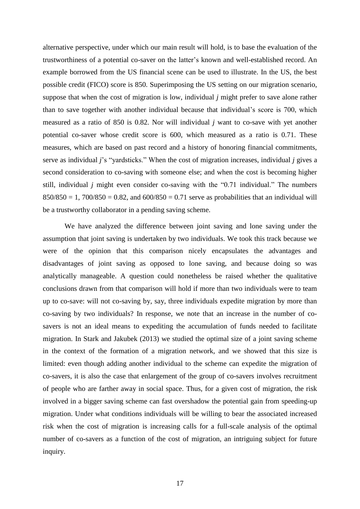alternative perspective, under which our main result will hold, is to base the evaluation of the trustworthiness of a potential co-saver on the latter's known and well-established record. An example borrowed from the US financial scene can be used to illustrate. In the US, the best possible credit (FICO) score is 850. Superimposing the US setting on our migration scenario, suppose that when the cost of migration is low, individual *j* might prefer to save alone rather than to save together with another individual because that individual's score is 700, which measured as a ratio of 850 is 0.82. Nor will individual *j* want to co-save with yet another potential co-saver whose credit score is 600, which measured as a ratio is 0.71. These measures, which are based on past record and a history of honoring financial commitments, serve as individual *j*'s "yardsticks." When the cost of migration increases, individual *j* gives a second consideration to co-saving with someone else; and when the cost is becoming higher still, individual *j* might even consider co-saving with the "0.71 individual." The numbers  $850/850 = 1$ ,  $700/850 = 0.82$ , and  $600/850 = 0.71$  serve as probabilities that an individual will be a trustworthy collaborator in a pending saving scheme.

We have analyzed the difference between joint saving and lone saving under the assumption that joint saving is undertaken by two individuals. We took this track because we were of the opinion that this comparison nicely encapsulates the advantages and disadvantages of joint saving as opposed to lone saving, and because doing so was analytically manageable. A question could nonetheless be raised whether the qualitative conclusions drawn from that comparison will hold if more than two individuals were to team up to co-save: will not co-saving by, say, three individuals expedite migration by more than co-saving by two individuals? In response, we note that an increase in the number of cosavers is not an ideal means to expediting the accumulation of funds needed to facilitate migration. In Stark and Jakubek (2013) we studied the optimal size of a joint saving scheme in the context of the formation of a migration network, and we showed that this size is limited: even though adding another individual to the scheme can expedite the migration of co-savers, it is also the case that enlargement of the group of co-savers involves recruitment of people who are farther away in social space. Thus, for a given cost of migration, the risk involved in a bigger saving scheme can fast overshadow the potential gain from speeding-up migration. Under what conditions individuals will be willing to bear the associated increased risk when the cost of migration is increasing calls for a full-scale analysis of the optimal number of co-savers as a function of the cost of migration, an intriguing subject for future inquiry.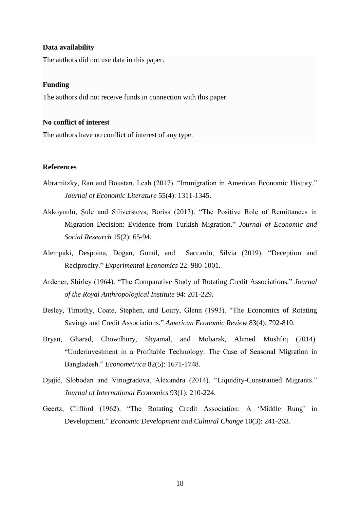# **Data availability**

The authors did not use data in this paper.

# **Funding**

The authors did not receive funds in connection with this paper.

# **No conflict of interest**

The authors have no conflict of interest of any type.

# **References**

- Abramitzky, Ran and Boustan, Leah (2017). "Immigration in American Economic History." *Journal of Economic Literature* 55(4): 1311-1345.
- Akkoyunlu, Şule and Siliverstovs, Boriss (2013). "The Positive Role of Remittances in Migration Decision: Evidence from Turkish Migration." *Journal of Economic and Social Research* 15(2): 65-94.
- Alempaki, Despoina, Doğan, Gönül, and Saccardo, Silvia (2019). "Deception and Reciprocity." *Experimental Economics* 22: 980-1001.
- Ardener, Shirley (1964). "The Comparative Study of Rotating Credit Associations." *Journal of the Royal Anthropological Institute* 94: 201-229.
- Besley, Timothy, Coate, Stephen, and Loury, Glenn (1993). "The Economics of Rotating Savings and Credit Associations." *American Economic Review* 83(4): 792-810.
- Bryan, Gharad, Chowdhury, Shyamal, and Mobarak, Ahmed Mushfiq (2014). "Underinvestment in a Profitable Technology: The Case of Seasonal Migration in Bangladesh." *Econometrica* 82(5): 1671-1748.
- Djajić, Slobodan and Vinogradova, Alexandra (2014). "Liquidity-Constrained Migrants." *Journal of International Economics* 93(1): 210-224.
- Geertz, Clifford (1962). "The Rotating Credit Association: A 'Middle Rung' in Development." *Economic Development and Cultural Change* 10(3): 241-263.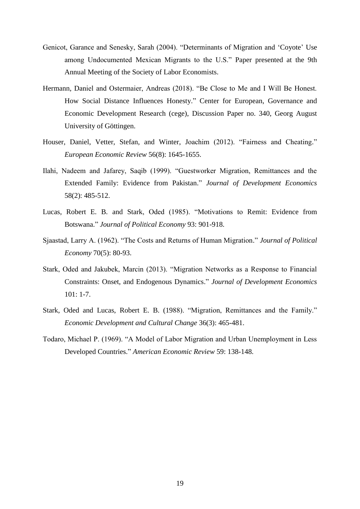- Genicot, Garance and Senesky, Sarah (2004). "Determinants of Migration and 'Coyote' Use among Undocumented Mexican Migrants to the U.S." Paper presented at the 9th Annual Meeting of the Society of Labor Economists.
- Hermann, Daniel and Ostermaier, Andreas (2018). "Be Close to Me and I Will Be Honest. How Social Distance Influences Honesty." Center for European, Governance and Economic Development Research (cege), Discussion Paper no. 340, Georg August University of Göttingen.
- Houser, Daniel, Vetter, Stefan, and Winter, Joachim (2012). "Fairness and Cheating." *European Economic Review* 56(8): 1645-1655.
- Ilahi, Nadeem and Jafarey, Saqib (1999). "Guestworker Migration, Remittances and the Extended Family: Evidence from Pakistan." *Journal of Development Economics* 58(2): 485-512.
- Lucas, Robert E. B. and Stark, Oded (1985). "Motivations to Remit: Evidence from Botswana." *Journal of Political Economy* 93: 901-918.
- Sjaastad, Larry A. (1962). "The Costs and Returns of Human Migration." *Journal of Political Economy* 70(5): 80-93.
- Stark, Oded and Jakubek, Marcin (2013). "Migration Networks as a Response to Financial Constraints: Onset, and Endogenous Dynamics." *Journal of Development Economics* 101: 1-7.
- Stark, Oded and Lucas, Robert E. B. (1988). "Migration, Remittances and the Family." *Economic Development and Cultural Change* 36(3): 465-481.
- Todaro, Michael P. (1969). "A Model of Labor Migration and Urban Unemployment in Less Developed Countries." *American Economic Review* 59: 138-148.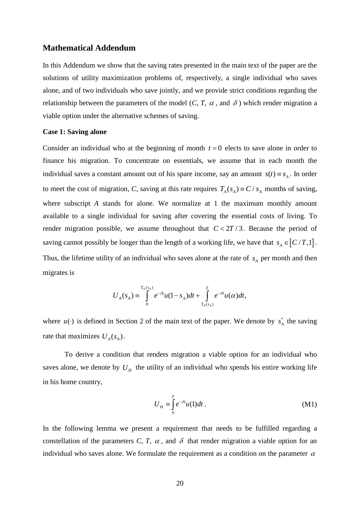# **Mathematical Addendum**

In this Addendum we show that the saving rates presented in the main text of the paper are the solutions of utility maximization problems of, respectively, a single individual who saves alone, and of two individuals who save jointly, and we provide strict conditions regarding the relationship between the parameters of the model  $(C, T, \alpha$ , and  $\delta$ ) which render migration a viable option under the alternative schemes of saving.

# **Case 1: Saving alone**

Consider an individual who at the beginning of month  $t = 0$  elects to save alone in order to finance his migration. To concentrate on essentials, we assume that in each month the individual saves a constant amount out of his spare income, say an amount  $s(t) \equiv s_A$ . In order to meet the cost of migration, C, saving at this rate requires  $T_A(s_A) = C / s_A$  months of saving, where subscript *A* stands for alone. We normalize at 1 the maximum monthly amount available to a single individual for saving after covering the essential costs of living. To render migration possible, we assume throughout that  $C < 2T / 3$ . Because the period of saving cannot possibly be longer than the length of a working life, we have that  $s_A \in [C/T,1]$ . Thus, the lifetime utility of an individual who saves alone at the rate of  $s_A$  per month and then migrates is

$$
U_A(s_A) = \int\limits_0^{T_A(s_A)} e^{-\delta t} u(1-s_A) dt + \int\limits_{T_A(s_A)}^T e^{-\delta t} u(\alpha) dt,
$$

where  $u(\cdot)$  is defined in Section 2 of the main text of the paper. We denote by  $s_A^*$  the saving rate that maximizes  $U_A(s_A)$ .

To derive a condition that renders migration a viable option for an individual who saves alone, we denote by  $U_H$  the utility of an individual who spends his entire working life in his home country,

$$
U_H \equiv \int_0^T e^{-\delta t} u(1) dt.
$$
 (M1)

In the following lemma we present a requirement that needs to be fulfilled regarding a constellation of the parameters C, T,  $\alpha$ , and  $\delta$  that render migration a viable option for an individual who saves alone. We formulate the requirement as a condition on the parameter  $\alpha$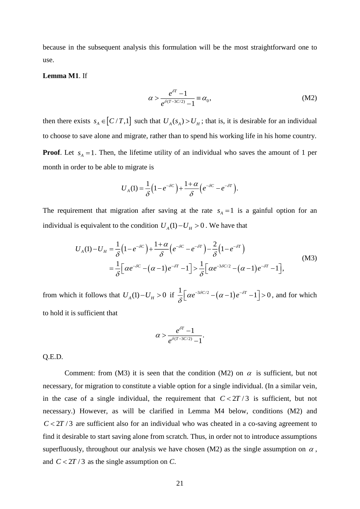because in the subsequent analysis this formulation will be the most straightforward one to use.

# **Lemma M1**. If

$$
\alpha > \frac{e^{\delta T} - 1}{e^{\delta (T - 3C/2)} - 1} = \alpha_0,
$$
\n(M2)

then there exists  $s_A \in [C/T,1]$  such that  $U_A(s_A) > U_H$ ; that is, it is desirable for an individual to choose to save alone and migrate, rather than to spend his working life in his home country. **Proof**. Let  $s_A = 1$ . Then, the lifetime utility of an individual who saves the amount of 1 per month in order to be able to migrate is

$$
U_A(1) = \frac{1}{\delta} \left( 1 - e^{-\delta C} \right) + \frac{1 + \alpha}{\delta} \left( e^{-\delta C} - e^{-\delta T} \right).
$$

The requirement that migration after saving at the rate  $s_A = 1$  is a gainful option for an individual is equivalent to the condition  $U_A(1) - U_H > 0$ . We have that

$$
U_A(1) - U_H = \frac{1}{\delta} \left( 1 - e^{-\delta C} \right) + \frac{1 + \alpha}{\delta} \left( e^{-\delta C} - e^{-\delta T} \right) - \frac{2}{\delta} \left( 1 - e^{-\delta T} \right)
$$
  
= 
$$
\frac{1}{\delta} \left[ \alpha e^{-\delta C} - (\alpha - 1) e^{-\delta T} - 1 \right] > \frac{1}{\delta} \left[ \alpha e^{-3\delta C/2} - (\alpha - 1) e^{-\delta T} - 1 \right],
$$
 (M3)

from which it follows that  $U_A(1) - U_H > 0$  if  $\frac{1}{s} \left[ \alpha e^{-3\delta C/2} - (\alpha - 1)e^{-\delta T} - 1 \right] > 0$  $\delta$  $\left[\alpha e^{-3\delta C/2} - (\alpha - 1)e^{-\delta T} - 1\right] > 0$ , and for which to hold it is sufficient that

$$
\alpha > \frac{e^{\delta T}-1}{e^{\delta(T-3C/2)}-1}.
$$

Q.E.D.

Comment: from (M3) it is seen that the condition (M2) on  $\alpha$  is sufficient, but not necessary, for migration to constitute a viable option for a single individual. (In a similar vein, in the case of a single individual, the requirement that  $C < 2T/3$  is sufficient, but not necessary.) However, as will be clarified in Lemma M4 below, conditions (M2) and  $C < 2T/3$  are sufficient also for an individual who was cheated in a co-saving agreement to find it desirable to start saving alone from scratch. Thus, in order not to introduce assumptions superfluously, throughout our analysis we have chosen (M2) as the single assumption on  $\alpha$ , and  $C < 2T / 3$  as the single assumption on *C*.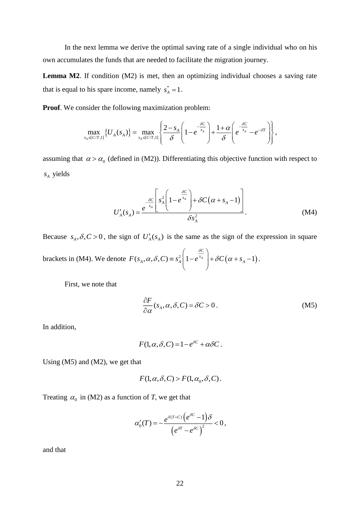In the next lemma we derive the optimal saving rate of a single individual who on his own accumulates the funds that are needed to facilitate the migration journey.

Lemma M2. If condition (M2) is met, then an optimizing individual chooses a saving rate that is equal to his spare income, namely  $s_A^* = 1$ .

**Proof**. We consider the following maximization problem:

$$
\text{inside the following maximization problem:} \\ \max_{s_A \in [C/T,1]} \{ U_A(s_A) \} = \max_{s_A \in [C/T,1]} \left\{ \frac{2 - s_A}{\delta} \left( 1 - e^{-\frac{\delta C}{s_A}} \right) + \frac{1 + \alpha}{\delta} \left( e^{-\frac{\delta C}{s_A}} - e^{-\delta T} \right) \right\},
$$

assuming that  $\alpha > \alpha_0$  (defined in (M2)). Differentiating this objective function with respect to *A s* yields

$$
U'_{A}(s_{A}) = \frac{e^{-\frac{\delta C}{s_{A}}}\left[s_{A}^{2}\left(1-e^{\frac{\delta C}{s_{A}}}\right)+\delta C\left(\alpha+s_{A}-1\right)\right]}{\delta s_{A}^{2}}.
$$
 (M4)

Because  $s_A, \delta, C > 0$ , the sign of  $U_A'(s_A)$  is the same as the sign of the expression in square

brackets in (M4). We denote  $F(s_A, \alpha, \delta, C) = s_A^2 | 1 - e^{s_A} | + \delta C (\alpha + s_A - 1)$ *C*  $F(s_A, \alpha, \delta, C) = s_A^2 | 1 - e^{s_A} | + \delta C (\alpha + s_A)$ δ  $\alpha$ ,  $\delta$ ,  $C$ ) =  $s_A^2 \left(1 - e^{\frac{\delta C}{s_A}}\right) + \delta C \left(\alpha + s_A - \alpha\right)$ .

First, we note that

$$
\frac{\partial F}{\partial \alpha}(s_A, \alpha, \delta, C) = \delta C > 0.
$$
 (M5)

In addition,

$$
F(1, \alpha, \delta, C) = 1 - e^{\delta C} + \alpha \delta C.
$$

Using (M5) and (M2), we get that

$$
F(1, \alpha, \delta, C) > F(1, \alpha_0, \delta, C).
$$

Treating  $\alpha_0$  in (M2) as a function of *T*, we get that

$$
\alpha_0'(T) = -\frac{e^{\delta(T+C)}(e^{\delta C}-1)\delta}{(e^{\delta T}-e^{\delta C})^2}<0,
$$

and that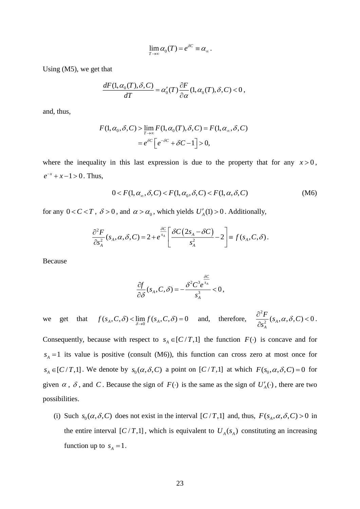$$
\lim_{T\to\infty}\alpha_0(T)=e^{\delta C}\equiv\alpha_\infty.
$$

Using (M5), we get that

$$
\frac{dF(1,\alpha_0(T),\delta,C)}{dT} = \alpha'_0(T)\frac{\partial F}{\partial \alpha}(1,\alpha_0(T),\delta,C) < 0,
$$

and, thus,

$$
F(1, \alpha_0, \delta, C) > \lim_{T \to \infty} F(1, \alpha_0(T), \delta, C) = F(1, \alpha_\infty, \delta, C)
$$

$$
= e^{\delta C} \Big[ e^{-\delta C} + \delta C - 1 \Big] > 0,
$$

where the inequality in this last expression is due to the property that for any  $x > 0$ ,  $e^{-x} + x - 1 > 0$ . Thus,

$$
0 < F(1, \alpha_{\infty}, \delta, C) < F(1, \alpha_0, \delta, C) < F(1, \alpha, \delta, C) \tag{M6}
$$

for any  $0 < C < T$ ,  $\delta > 0$ , and  $\alpha > \alpha_0$ , which yields  $U_A'(1) > 0$ . Additionally,

$$
\frac{\partial^2 F}{\partial s_A^2}(s_A, \alpha, \delta, C) = 2 + e^{\frac{\delta C}{s_A}} \left[ \frac{\delta C (2s_A - \delta C)}{s_A^2} - 2 \right] = f(s_A, C, \delta).
$$

Because

$$
\frac{\partial f}{\partial \delta}(s_A, C, \delta) = -\frac{\delta^2 C^3 e^{\frac{\delta C}{s_A}}}{s_A^3} < 0,
$$

we get that  $f(s_A, C, \delta) < \lim_{\delta \to 0} f(s_A, C, \delta) = 0$  and, therefore, 2  $\frac{1}{2}(s_A, \alpha, \delta, C)$  < 0 *A C s*  $\frac{\partial^2 F}{\partial s}$  (s, ,  $\alpha$ ,  $\delta$  $\frac{\partial^2 I}{\partial s^2} (s_A, \alpha, \delta, C) < 0.$ 

Consequently, because with respect to  $s_A \in [C/T,1]$  the function  $F(\cdot)$  is concave and for  $s_A = 1$  its value is positive (consult (M6)), this function can cross zero at most once for  $s_A \in [C/T,1]$ . We denote by  $s_0(\alpha, \delta, C)$  a point on  $[C/T,1]$  at which  $F(s_0, \alpha, \delta, C) = 0$  for given  $\alpha$ ,  $\delta$ , and C. Because the sign of  $F(\cdot)$  is the same as the sign of  $U_A'(\cdot)$ , there are two possibilities.

(i) Such  $s_0(\alpha, \delta, C)$  does not exist in the interval  $[C/T, 1]$  and, thus,  $F(s_A, \alpha, \delta, C) > 0$  in the entire interval  $\left[ C/T,1 \right]$ , which is equivalent to  $U_A(s_A)$  constituting an increasing function up to  $s_A = 1$ .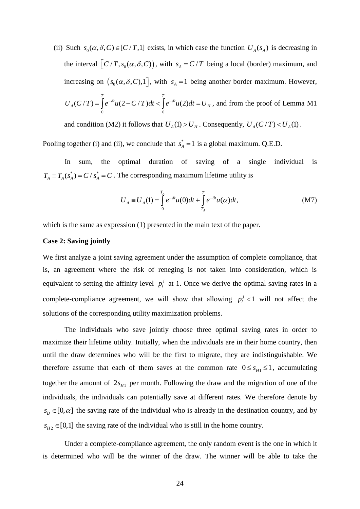(ii) Such  $s_0(\alpha, \delta, C) \in [C/T, 1]$  exists, in which case the function  $U_A(s_A)$  is decreasing in the interval  $\left[ C/T, s_0(\alpha, \delta, C) \right)$ , with  $s_A = C/T$  being a local (border) maximum, and increasing on  $(s_0(\alpha, \delta, C), 1]$ , with  $s_A = 1$  being another border maximum. However,  $0 \hspace{3.2cm} 0$  $(C/T) = |e^{-\delta t}u(2 - C/T)dt < |e^{-\delta t}u(2)|$ *T T*  $U_A(C/T) = \int e^{-\delta t} u(2 - C/T) dt < \int e^{-\delta t} u(2) dt = U_H$ , and from the proof of Lemma M1

and condition (M2) it follows that  $U_A(1) > U_H$ . Consequently,  $U_A(C/T) < U_A(1)$ .

Pooling together (i) and (ii), we conclude that  $s_A^* = 1$  is a global maximum. Q.E.D.

In sum, the optimal duration of saving of a single individual is  $T_A \equiv T_A(s_A^*) = C / s_A^* = C$ . The corresponding maximum lifetime utility is

$$
U_{A} \equiv U_{A}(1) = \int_{0}^{T_{A}} e^{-\delta t} u(0) dt + \int_{T_{A}}^{T} e^{-\delta t} u(\alpha) dt,
$$
 (M7)

which is the same as expression (1) presented in the main text of the paper.

# **Case 2: Saving jointly**

We first analyze a joint saving agreement under the assumption of complete compliance, that is, an agreement where the risk of reneging is not taken into consideration, which is equivalent to setting the affinity level  $p_i^j$  at 1. Once we derive the optimal saving rates in a complete-compliance agreement, we will show that allowing  $p_i^j < 1$  will not affect the solutions of the corresponding utility maximization problems.

The individuals who save jointly choose three optimal saving rates in order to maximize their lifetime utility. Initially, when the individuals are in their home country, then until the draw determines who will be the first to migrate, they are indistinguishable. We therefore assume that each of them saves at the common rate  $0 \leq s_H \leq 1$ , accumulating together the amount of  $2s_{H1}$  per month. Following the draw and the migration of one of the individuals, the individuals can potentially save at different rates. We therefore denote by  $s_D \in [0, \alpha]$  the saving rate of the individual who is already in the destination country, and by  $s_{H2} \in [0,1]$  the saving rate of the individual who is still in the home country.

Under a complete-compliance agreement, the only random event is the one in which it is determined who will be the winner of the draw. The winner will be able to take the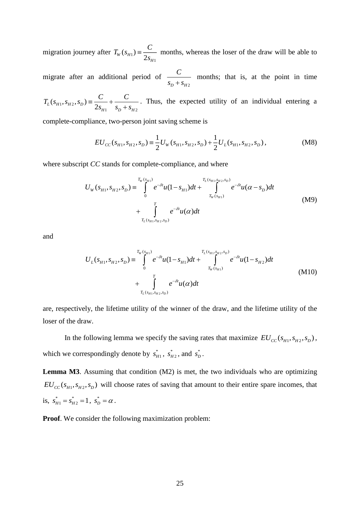migration journey after  $T_w(s_{H_1})$ 1  $J_{W}^{(s)}(s_{H1}) = \frac{1}{2}$ *H*  $T_w(s_m) \equiv \frac{C}{\sigma}$ *s*  $\equiv \frac{C}{2}$  months, whereas the loser of the draw will be able to

migrate after an additional period of *D*  $^{\prime}$   $^{\prime}$   $^{\prime}$   $^{\prime}$   $^{\prime}$   $^{\prime}$   $^{\prime}$   $^{\prime}$   $^{\prime}$   $^{\prime}$   $^{\prime}$   $^{\prime}$   $^{\prime}$   $^{\prime}$   $^{\prime}$   $^{\prime}$   $^{\prime}$   $^{\prime}$   $^{\prime}$   $^{\prime}$   $^{\prime}$   $^{\prime}$   $^{\prime}$   $^{\prime}$   $^{\prime}$   $^{\prime}$   $^{\prime}$   $^{\prime}$   $^{\prime}$   $^{\prime}$   $^{\prime}$  *C*  $\frac{C}{s_0 + s_{10}}$  months; that is, at the point in time

 $1, S_{H2}$  $s_D + s_{H2}$  $\sum_{L}^{1}(s_{H1}, s_{H2}, s_{D}) \equiv \frac{1}{2}$  $F_{H1}$   $S_D + S_H$  $T_L(s_{H1}, s_{H2}, s_D) = \frac{C}{2s} + \frac{C}{s+1}$  $\frac{C}{s_{H1}} + \frac{C}{s_D + s}$  $\equiv \frac{C}{2s_{H1}} + \frac{C}{s_{D}+}$ . Thus, the expected utility of an individual entering a

complete-compliance, two-person joint saving scheme is

$$
EU_{CC}(s_{H1}, s_{H2}, s_D) \equiv \frac{1}{2} U_W(s_{H1}, s_{H2}, s_D) + \frac{1}{2} U_L(s_{H1}, s_{H2}, s_D),
$$
 (M8)

where subscript *CC* stands for complete-compliance, and where

$$
U_{W}(s_{H1}, s_{H2}, s_{D}) = \int_{0}^{T_{W}(s_{H1})} e^{-\delta t} u(1 - s_{H1}) dt + \int_{T_{W}(s_{H1})}^{T_{L}(s_{H1}, s_{H2}, s_{D})} e^{-\delta t} u(\alpha - s_{D}) dt
$$
  
+ 
$$
\int_{T_{L}(s_{H1}, s_{H2}, s_{D})}^{T} e^{-\delta t} u(\alpha) dt
$$
 (M9)

and

$$
U_{L}(s_{H1}, s_{H2}, s_{D}) = \int_{0}^{T_{W}(s_{H1})} e^{-\delta t} u(1 - s_{H1}) dt + \int_{T_{W}(s_{H1})}^{T_{L}(s_{H1}, s_{H2}, s_{D})} e^{-\delta t} u(1 - s_{H2}) dt
$$
  
+ 
$$
\int_{T_{L}(s_{H1}, s_{H2}, s_{D})}^{T} e^{-\delta t} u(\alpha) dt
$$
 (M10)

are, respectively, the lifetime utility of the winner of the draw, and the lifetime utility of the loser of the draw.

In the following lemma we specify the saving rates that maximize  $EU_{CC}(s_{H1}, s_{H2}, s_D)$ , which we correspondingly denote by  $s_{H1}^*$ ,  $s_H^*$  $s_{H2}^*$ , and  $s_D^*$ .

**Lemma M3**. Assuming that condition (M2) is met, the two individuals who are optimizing  $EU_{CC}(s_{H1}, s_{H2}, s_{D})$  will choose rates of saving that amount to their entire spare incomes, that is,  $s_{H1}^* = s_{H2}^*$  $s_{H1}^* = s_{H2}^* = 1$ ,  $s_D^* = \alpha$ .

**Proof**. We consider the following maximization problem: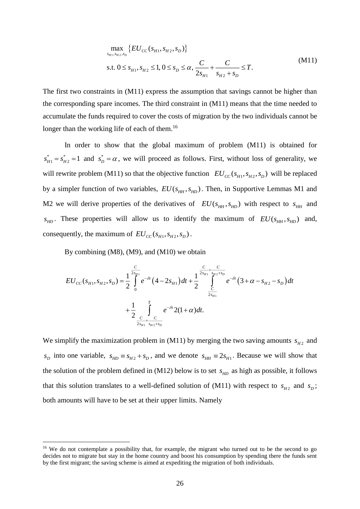$$
\max_{s_{H1}, s_{H2}, s_D} \{ EU_{CC}(s_{H1}, s_{H2}, s_D) \}
$$
  
s.t.  $0 \le s_{H1}, s_{H2} \le 1, 0 \le s_D \le \alpha, \frac{C}{2s_{H1}} + \frac{C}{s_{H2} + s_D} \le T.$  (M11)

The first two constraints in (M11) express the assumption that savings cannot be higher than the corresponding spare incomes. The third constraint in (M11) means that the time needed to accumulate the funds required to cover the costs of migration by the two individuals cannot be longer than the working life of each of them.<sup>16</sup>

In order to show that the global maximum of problem (M11) is obtained for \*  $1 - \nu_{H2}$  $s_{H1}^* = s_{H2}^* = 1$  and  $s_D^* = \alpha$ , we will proceed as follows. First, without loss of generality, we will rewrite problem (M11) so that the objective function  $EU_{CC}(s_{H1}, s_{H2}, s_{D})$  will be replaced by a simpler function of two variables,  $EU(s_{HH}, s_{HD})$ . Then, in Supportive Lemmas M1 and M2 we will derive properties of the derivatives of  $EU(s_{HH}, s_{HD})$  with respect to  $s_{HH}$  and  $s_{HD}$ . These properties will allow us to identify the maximum of  $EU(s_{HH}, s_{HD})$  and, consequently, the maximum of  $EU_{CC}(s_{H1}, s_{H2}, s_D)$ .

By combining (M8), (M9), and (M10) we obtain

1

$$
EU_{CC}(s_{H1}, s_{H2}, s_D) = \frac{1}{2} \int_{0}^{\frac{C}{2s_{H1}}} e^{-\delta t} (4 - 2s_{H1}) dt + \frac{1}{2} \int_{\frac{C}{2s_{H1}}}^{\frac{C}{2s_{H1} + \frac{C}{s_{H2} + s_D}}} e^{-\delta t} (3 + \alpha - s_{H2} - s_D) dt + \frac{1}{2} \int_{\frac{C}{2s_{H1} + \frac{C}{s_{H2} + s_D}}}^{\frac{C}{2s_{H1} + \frac{C}{s_{H2} + s_D}}} e^{-\delta t} 2(1 + \alpha) dt.
$$

We simplify the maximization problem in (M11) by merging the two saving amounts  $s_{H2}$  and  $s_p$  into one variable,  $s_{HD} = s_{H2} + s_p$ , and we denote  $s_{HH} = 2s_{H1}$ . Because we will show that the solution of the problem defined in (M12) below is to set  $s_{HD}$  as high as possible, it follows that this solution translates to a well-defined solution of (M11) with respect to  $s_{H2}$  and  $s_D$ ; both amounts will have to be set at their upper limits. Namely

<sup>&</sup>lt;sup>16</sup> We do not contemplate a possibility that, for example, the migrant who turned out to be the second to go decides not to migrate but stay in the home country and boost his consumption by spending there the funds sent by the first migrant; the saving scheme is aimed at expediting the migration of both individuals.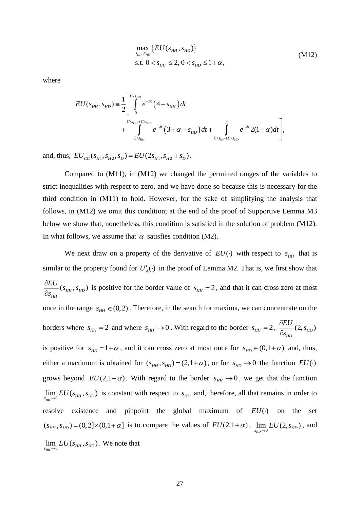$$
\max_{s_{HH}, s_{HD}} \{ EU(s_{HH}, s_{HD}) \}
$$
\n
$$
\text{s.t. } 0 < s_{HH} \le 2, 0 < s_{HD} \le 1 + \alpha,
$$
\n(M12)

where

$$
EU(s_{HH}, s_{HD}) = \frac{1}{2} \left[ \int_{0}^{C/s_{HH}} e^{-\delta t} (4 - s_{HH}) dt + \int_{C/s_{HH}}^{C/s_{HH} + C/s_{HD}} e^{-\delta t} (3 + \alpha - s_{HD}) dt + \int_{C/s_{HH} + C/s_{HD}}^{T} e^{-\delta t} 2(1 + \alpha) dt \right],
$$

and, thus,  $EU_{CC}(s_{H1}, s_{H2}, s_D) = EU(2s_{H1}, s_{H2} + s_D)$ .

Compared to (M11), in (M12) we changed the permitted ranges of the variables to strict inequalities with respect to zero, and we have done so because this is necessary for the third condition in (M11) to hold. However, for the sake of simplifying the analysis that follows, in (M12) we omit this condition; at the end of the proof of Supportive Lemma M3 below we show that, nonetheless, this condition is satisfied in the solution of problem (M12). In what follows, we assume that  $\alpha$  satisfies condition (M2).

We next draw on a property of the derivative of  $EU(\cdot)$  with respect to  $s_{HH}$  that is similar to the property found for  $U_A'(\cdot)$  in the proof of Lemma M2. That is, we first show that  $(s_{_{HH}}, s_{_{HD}})$ *HH s U s*  $\frac{\partial EU}{\partial} (s_{\mu\mu}, s)$  $\partial$ is positive for the border value of  $s_{HH} = 2$ , and that it can cross zero at most once in the range  $s_{HH} \in (0,2)$ . Therefore, in the search for maxima, we can concentrate on the borders where  $s_{HH} = 2$  and where  $s_{HH} \rightarrow 0$ . With regard to the border  $s_{HH} = 2$ ,  $\frac{\partial 26}{\partial 2}(2, s_{HD})$ *HD HD EU s dEU* (2.5 õ is positive for  $s_{HD} = 1 + \alpha$ , and it can cross zero at most once for  $s_{HD} \in (0, 1 + \alpha)$  and, thus, either a maximum is obtained for  $(s_{HH}, s_{HD}) = (2, 1+\alpha)$ , or for  $s_{HD} \rightarrow 0$  the function  $EU(\cdot)$ grows beyond  $EU(2,1+\alpha)$ . With regard to the border  $s_{HH} \rightarrow 0$ , we get that the function  $\lim_{s_{HH}\to 0} EU(s_{HH}, s_{HD})$  is constant with respect to  $s_{HD}$  and, therefore, all that remains in order to resolve existence and pinpoint the global maximum of  $EU(\cdot)$ the set  $(s_{HH}, s_{HD}) = (0, 2] \times (0, 1 + \alpha]$  is to compare the values of  $EU(2, 1 + \alpha)$ ,  $\lim_{s_{HD}\to 0} EU(2, s_{HD})$ , and  $\lim_{s_{HH}\to 0} EU(s_{HH}, s_{HD})$ . We note that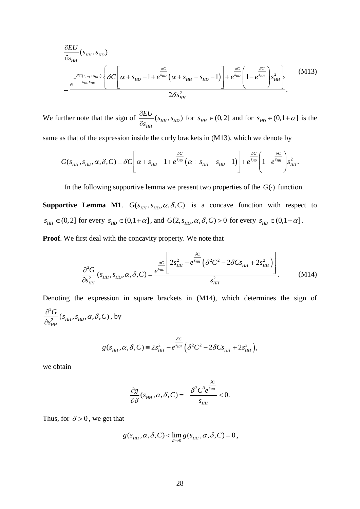$$
\frac{\partial EU}{\partial s_{HH}}(s_{HH}, s_{HD})\n= \frac{e^{-\frac{\delta C(s_{HH} + s_{HD})}{s_{HH}s_{HD}}}\left\{\delta C \left[\alpha + s_{HD} - 1 + e^{\frac{\delta C}{s_{HD}}}(\alpha + s_{HH} - s_{HD} - 1)\right] + e^{\frac{\delta C}{s_{HD}}} \left(1 - e^{\frac{\delta C}{s_{HH}}}\right)s_{HH}^2\right\}\n= \frac{2\delta s_{HH}^2}{2\delta s_{HH}^2}.
$$
\n(M13)

We further note that the sign of  $\frac{OEC}{2}$  ( $s_{HH}$ ,  $s_{HD}$ ) *HH s U s*  $\frac{\partial EU}{\partial s}(s_{\mu\mu}, s)$  $\widehat{o}$ for  $s_{HH} \in (0,2]$  and for  $s_{HD} \in (0,1+\alpha]$  is the

same as that of the expression inside the curly brackets in (M13), which we denote by

$$
G(s_{HH}, s_{HD}, \alpha, \delta, C) \equiv \delta C \left[ \alpha + s_{HD} - 1 + e^{\frac{\delta C}{s_{HD}}} \left( \alpha + s_{HH} - s_{HD} - 1 \right) \right] + e^{\frac{\delta C}{s_{HD}}} \left( 1 - e^{\frac{\delta C}{s_{HH}}} \right) s_{HH}^2.
$$

In the following supportive lemma we present two properties of the  $G(\cdot)$  function.

**Supportive Lemma M1.**  $G(s_{HH}, s_{HD}, \alpha, \delta, C)$  is a concave function with respect to  $s_{HH} \in (0,2]$  for every  $s_{HD} \in (0,1+\alpha]$ , and  $G(2, s_{HD}, \alpha, \delta, C) > 0$  for every  $s_{HD} \in (0,1+\alpha]$ .

**Proof**. We first deal with the concavity property. We note that

$$
\frac{\partial^2 G}{\partial s_{HH}^2}(s_{HH}, s_{HD}, \alpha, \delta, C) = \frac{\frac{\delta C}{\delta^{s_{HD}}}\left(2s_{HH}^2 - e^{s_{HH}}\left(\delta^2 C^2 - 2\delta C s_{HH} + 2s_{HH}^2\right)\right)}{s_{HH}^2}.
$$
 (M14)

Denoting the expression in square brackets in (M14), which determines the sign of 2  $\frac{C}{2}$  ( $s$ <sub>HH</sub>,  $s$ <sub>HD</sub>,  $\alpha$ ,  $\delta$ , C) *HH C s*  $\frac{\partial^2 G}{\partial s}(s_{\mu\nu}, s_{\nu\rho}, \alpha, \delta)$  $\frac{\partial^2 G}{\partial s_{\mu\nu}^2}(s_{HH}, s_{HD}, \alpha, \delta, C)$ , by

$$
g(s_{HH}, \alpha, \delta, C) \equiv 2s_{HH}^2 - e^{\frac{\delta C}{s_{HH}}} \left( \delta^2 C^2 - 2 \delta C s_{HH} + 2s_{HH}^2 \right),
$$

we obtain

$$
\frac{\partial g}{\partial \delta}(s_{HH}, \alpha, \delta, C) = -\frac{\delta^2 C^3 e^{\frac{\delta C}{s_{HH}}} }{s_{HH}} < 0.
$$

Thus, for  $\delta > 0$ , we get that

$$
g(s_{HH}, \alpha, \delta, C) < \lim_{\delta \to 0} g(s_{HH}, \alpha, \delta, C) = 0,
$$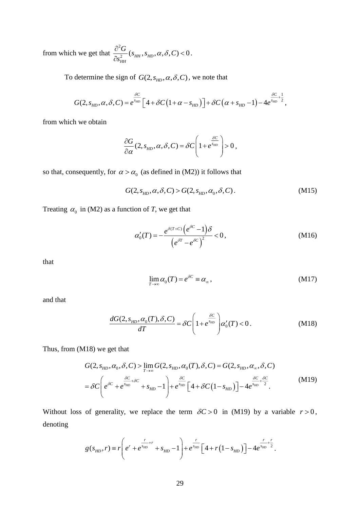from which we get that  $\frac{\partial^2}{\partial x^2}$  $\frac{Q}{2}$  ( $s$ <sub>HH</sub>,  $s$ <sub>HD</sub>,  $\alpha$ ,  $\delta$ , C) < 0 *HH*  $\frac{S}{s_{\mu\nu}^2}(s_{\mu\nu}, s_{\mu\nu}, \alpha, \delta, C)$  $\frac{G}{G}(s_{\mu\nu}, s_{\nu\rho}, \alpha, \delta)$  $\frac{\partial^2 G}{\partial s_{\rm rm}^2}(s_{\rm HH},s_{\rm HD},\alpha,\delta,C)\!<\!0$  .

To determine the sign of  $G(2, s_{HD}, \alpha, \delta, C)$ , we note that

$$
G(2, s_{HD}, \alpha, \delta, C) = e^{\frac{\delta C}{s_{HD}}} \left[ 4 + \delta C \left( 1 + \alpha - s_{HD} \right) \right] + \delta C \left( \alpha + s_{HD} - 1 \right) - 4 e^{\frac{\delta C}{s_{HD}} + \frac{1}{2}},
$$

from which we obtain

$$
\frac{\partial G}{\partial \alpha}(2, s_{HD}, \alpha, \delta, C) = \delta C \left(1 + e^{\frac{\delta C}{s_{HD}}}\right) > 0,
$$

so that, consequently, for  $\alpha > \alpha_0$  (as defined in (M2)) it follows that

$$
G(2, sHD, \alpha, \delta, C) > G(2, sHD, \alpha0, \delta, C).
$$
 (M15)

Treating  $\alpha_0$  in (M2) as a function of *T*, we get that

$$
\alpha'_{0}(T) = -\frac{e^{\delta(T+C)}\left(e^{\delta C} - 1\right)\delta}{\left(e^{\delta T} - e^{\delta C}\right)^{2}} < 0, \tag{M16}
$$

that

$$
\lim_{T \to \infty} \alpha_0(T) = e^{\delta C} \equiv \alpha_\infty, \tag{M17}
$$

and that

$$
\frac{dG(2, s_{HD}, \alpha_0(T), \delta, C)}{dT} = \delta C \left( 1 + e^{\frac{\delta C}{s_{HD}}} \right) \alpha'_0(T) < 0.
$$
\n(M18)

Thus, from (M18) we get that

$$
G(2, s_{HD}, \alpha_0, \delta, C) > \lim_{T \to \infty} G(2, s_{HD}, \alpha_0(T), \delta, C) = G(2, s_{HD}, \alpha_\infty, \delta, C)
$$
  
=  $\delta C \left( e^{\delta C} + e^{\frac{\delta C}{\delta HD}} + s_{HD} - 1 \right) + e^{\frac{\delta C}{\delta HD}} \left[ 4 + \delta C \left( 1 - s_{HD} \right) \right] - 4e^{\frac{\delta C}{\delta HD} + \frac{\delta C}{2}}.$  (M19)

Without loss of generality, we replace the term  $\delta C > 0$  in (M19) by a variable  $r > 0$ , denoting

$$
g(s_{HD}, r) \equiv r \left( e^{r} + e^{\frac{r}{s_{HD}} + r} + s_{HD} - 1 \right) + e^{\frac{r}{s_{HD}}} \left[ 4 + r \left( 1 - s_{HD} \right) \right] - 4 e^{\frac{r}{s_{HD}} + \frac{r}{2}}.
$$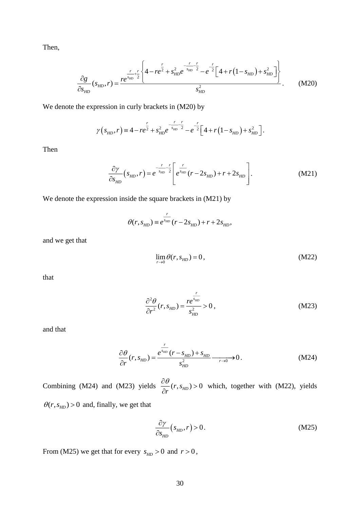Then,

$$
\frac{\partial g}{\partial s_{HD}}(s_{HD}, r) = \frac{re^{s_{HD} + r}{2}}{\left\{4 - re^{2} + s_{HD}^{2}e^{-\frac{r}{s_{HD}} - 2} - e^{-\frac{r}{2}}\left[4 + r\left(1 - s_{HD}\right) + s_{HD}^{2}\right]\right\}}{s_{HD}^{2}}.
$$
 (M20)

We denote the expression in curly brackets in (M20) by

$$
\gamma(s_{HD}, r) = 4 - re^{\frac{r}{2}} + s_{HD}^2 e^{-\frac{r}{s_{HD}} \frac{r}{2}} - e^{-\frac{r}{2}} \left[ 4 + r \left( 1 - s_{HD} \right) + s_{HD}^2 \right].
$$

Then

$$
\frac{\partial \gamma}{\partial s_{HD}}(s_{HD}, r) = e^{-\frac{r}{s_{HD}} - \frac{r}{2}} \left[ e^{\frac{r}{s_{HD}}} (r - 2s_{HD}) + r + 2s_{HD} \right].
$$
\n(M21)

We denote the expression inside the square brackets in (M21) by

$$
\theta(r, s_{HD}) \equiv e^{\frac{r}{s_{HD}}}(r - 2s_{HD}) + r + 2s_{HD},
$$

and we get that

$$
\lim_{r \to 0} \theta(r, s_{HD}) = 0, \qquad (M22)
$$

that

$$
\frac{\partial^2 \theta}{\partial r^2}(r, s_{HD}) = \frac{re^{\frac{r}{s_{HD}}}}{s_{HD}^2} > 0, \qquad (M23)
$$

and that

$$
\frac{\partial \theta}{\partial r}(r, s_{HD}) = \frac{e^{\frac{r}{s_{HD}}}(r - s_{HD}) + s_{HD}}{s_{HD}^2} \longrightarrow 0.
$$
 (M24)

Combining (M24) and (M23) yields  $\frac{\partial v}{\partial r}(r, s_{HD}) > 0$  $\partial \theta$  $\frac{\partial v}{\partial r}(r,s_{HD}) > 0$  which, together with (M22), yields  $\theta(r, s_{HD}) > 0$  and, finally, we get that

$$
\frac{\partial \gamma}{\partial s_{HD}}(s_{HD}, r) > 0. \tag{M25}
$$

From (M25) we get that for every  $s_{HD} > 0$  and  $r > 0$ ,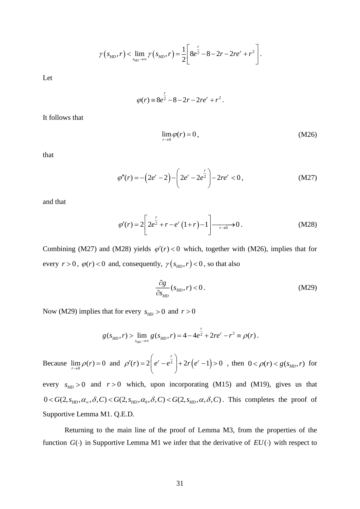$$
\gamma(s_{HD}, r) < \lim_{s_{HD}\to\infty} \gamma(s_{HD}, r) = \frac{1}{2} \left[ 8e^{\frac{r}{2}} - 8 - 2r - 2re^r + r^2 \right].
$$

Let

$$
\varphi(r) \equiv 8e^{\frac{r}{2}} - 8 - 2r - 2re^r + r^2.
$$

It follows that

$$
\lim_{r \to 0} \varphi(r) = 0, \tag{M26}
$$

that

$$
\varphi''(r) = -\left(2e^r - 2\right) - \left(2e^r - 2e^{\frac{r}{2}}\right) - 2re^r < 0\,,\tag{M27}
$$

and that

$$
\varphi'(r) = 2 \left[ 2e^{\frac{r}{2}} + r - e^r (1+r) - 1 \right] \xrightarrow[r \to 0]{} 0. \tag{M28}
$$

Combining (M27) and (M28) yields  $\varphi'(r) < 0$  which, together with (M26), implies that for every  $r > 0$ ,  $\varphi(r) < 0$  and, consequently,  $\gamma(s_{HD}, r) < 0$ , so that also

$$
\frac{\partial g}{\partial s_{HD}}(s_{HD}, r) < 0. \tag{M29}
$$

Now (M29) implies that for every  $s_{HD} > 0$  and  $r > 0$ 

$$
g(s_{HD}, r) > \lim_{s_{HD}\to\infty} g(s_{HD}, r) = 4 - 4e^{\frac{r}{2}} + 2re^r - r^2 \equiv \rho(r).
$$

 $(s_{HD}, r) < \lim_{s_{HD}} \gamma (s_{HD}, r) = \frac{r}{2}$ <br>  $\varphi(r) = 8e^{\frac{r}{2}} - 8 - \frac{1}{2}$ <br>  $\varphi(r) = 2\left[2e^{\frac{r}{2}} + r - e^r\left(\frac{r}{2}\right)\right]$ <br>  $\varphi'(r) = 2\left[2e^{\frac{r}{2}} + r - e^r\left(\frac{r}{2}\right)\right]$ <br>
and (M28) yields  $\varphi'(r) < 0$ <br>
and (M28) yields  $\varphi'(r) < 0$ <br>
and ( Because  $\lim_{r \to 0} \rho(r) = 0$  and  $\rho'(r) = 2 \left| e^r - e^{\frac{r}{2}} \right| + 2r(e^r - 1) > 0$ *r*  $\rho'(r) = 2|e^r - e^2| + 2r(e^r)$  $T(r) = 2\left(e^r - e^{\frac{r}{2}}\right) + 2r\left(e^r - 1\right) > 0$ , then  $0 < \rho(r) < g(s_{HD}, r)$  for every  $s_{HD} > 0$  and  $r > 0$  which, upon incorporating (M15) and (M19), gives us that  $C_0$ ,  $\delta$ ,  $C$ ) <  $G(2, s_{HD}, \alpha, \delta, C)$ . This completes the proof of betty  $s_{HD} > 0$  and  $r > 0$  which, upon incorporating (M15) and  $0 < G(2, s_{HD}, \alpha_{\infty}, \delta, C) < G(2, s_{HD}, \alpha_{0}, \delta, C) < G(2, s_{HD}, \alpha, \delta, C)$ . This

Supportive Lemma M1. Q.E.D.

Returning to the main line of the proof of Lemma M3, from the properties of the function  $G(\cdot)$  in Supportive Lemma M1 we infer that the derivative of  $EU(\cdot)$  with respect to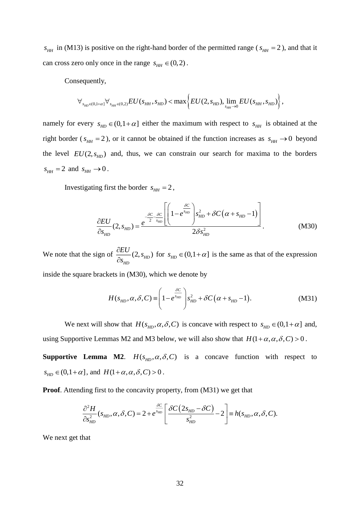$s_{HH}$  in (M13) is positive on the right-hand border of the permitted range ( $s_{HH} = 2$ ), and that it can cross zero only once in the range  $s_{HH} \in (0,2)$ .

Consequently,

$$
\forall_{s_{HD} \in (0,1+\alpha)} \forall_{s_{HH} \in (0,2)} EU(s_{HH}, s_{HD}) < \max \left\{ EU(2, s_{HD}), \lim_{s_{HH} \to 0} EU(s_{HH}, s_{HD}) \right\},\,
$$

namely for every  $s_{HD} \in (0, 1+\alpha]$  either the maximum with respect to  $s_{HH}$  is obtained at the right border ( $s_{HH} = 2$ ), or it cannot be obtained if the function increases as  $s_{HH} \rightarrow 0$  beyond the level  $EU(2, s<sub>HD</sub>)$  and, thus, we can constrain our search for maxima to the borders  $s_{HH} = 2$  and  $s_{HH} \rightarrow 0$ .

Investigating first the border  $s_{HH} = 2$ ,

ng first the border 
$$
s_{HH} = 2
$$
,  
\n
$$
\frac{\partial EU}{\partial s_{HD}}(2, s_{HD}) = \frac{e^{-\frac{SC}{2} - \frac{\delta C}{s_{HD}}}\left[\left(1 - e^{\frac{\delta C}{s_{HD}}}\right)s_{HD}^2 + \delta C\left(\alpha + s_{HD} - 1\right)\right]}{2\delta s_{HD}^2}.
$$
\n(M30)

We note that the sign of  $\frac{CDC}{2}(2, s_{HD})$ *HD E s dEU* (2.5  $\frac{\partial Z}{\partial s_{\mu\nu}}(2, s_{\mu\nu})$  for  $s_{\mu\nu} \in (0, 1 + \alpha]$  is the same as that of the expression

inside the square brackets in (M30), which we denote by

$$
H(s_{HD}, \alpha, \delta, C) \equiv \left(1 - e^{\frac{\delta C}{s_{HD}}}\right) s_{HD}^2 + \delta C \left(\alpha + s_{HD} - 1\right). \tag{M31}
$$

We next will show that  $H(s_{HD}, \alpha, \delta, C)$  is concave with respect to  $s_{HD} \in (0, 1 + \alpha]$  and, using Supportive Lemmas M2 and M3 below, we will also show that  $H(1 + \alpha, \alpha, \delta, C) > 0$ .

**Supportive Lemma M2.**  $H(s_{HD}, \alpha, \delta, C)$  is a concave function with respect to  $s_{HD} \in (0, 1 + \alpha]$ , and  $H(1 + \alpha, \alpha, \delta, C) > 0$ .

**Proof**. Attending first to the concavity property, from (M31) we get that

$$
\frac{\partial^2 H}{\partial s_{HD}^2}(s_{HD}, \alpha, \delta, C) = 2 + e^{\frac{\delta C}{s_{HD}}} \left[ \frac{\delta C (2s_{HD} - \delta C)}{s_{HD}^2} - 2 \right] = h(s_{HD}, \alpha, \delta, C).
$$

We next get that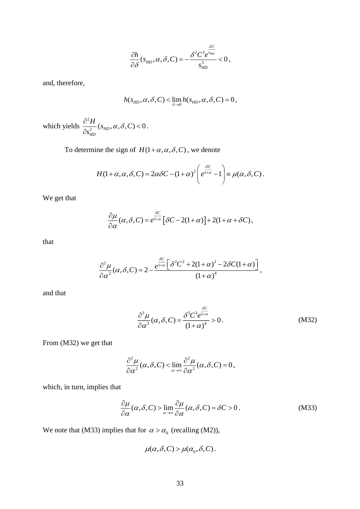$$
\frac{\partial h}{\partial \delta}(s_{HD}, \alpha, \delta, C) = -\frac{\delta^2 C^3 e^{\frac{\delta C}{s_{HD}}}}{s_{HD}^3} < 0,
$$

and, therefore,

$$
h(s_{HD}, \alpha, \delta, C) < \lim_{\delta \to 0} h(s_{HD}, \alpha, \delta, C) = 0,
$$

which yields  $\frac{\partial^2}{\partial x^2}$  $\frac{1}{2} (s_{HD}, \alpha, \delta, C)$  < 0 *HD*  $\frac{H}{\sim}$ (s<sub>up</sub>,  $\alpha$ ,  $\delta$ , C *s*  $s_{\mu\nu}$ ,  $\alpha$ ,  $\delta$  $\frac{\partial^2 H}{\partial s_{\rm\scriptscriptstyle HD}^2}(s_{\rm\scriptscriptstyle HD},\alpha,\delta,C)\!<\!0\,.$ 

To determine the sign of  $H(1 + \alpha, \alpha, \delta, C)$ , we denote

$$
H(1+\alpha,\alpha,\delta,C)=2\alpha\delta C-(1+\alpha)^2\left(e^{\frac{\delta C}{1+\alpha}}-1\right)\equiv\mu(\alpha,\delta,C).
$$

We get that

$$
\frac{\partial \mu}{\partial \alpha}(\alpha, \delta, C) = e^{\frac{\delta C}{1+\alpha}} [\delta C - 2(1+\alpha)] + 2(1+\alpha+\delta C),
$$

that

$$
\frac{\partial^2 \mu}{\partial \alpha^2}(\alpha, \delta, C) = 2 - \frac{e^{\frac{\delta C}{1 + \alpha} \left[\delta^2 C^2 + 2(1 + \alpha)^2 - 2\delta C (1 + \alpha)\right]}}{(1 + \alpha)^4},
$$

and that

$$
\frac{\partial^3 \mu}{\partial \alpha^3}(\alpha, \delta, C) = \frac{\delta^3 C^3 e^{\frac{\delta C}{1 + \alpha}}}{(1 + \alpha)^4} > 0.
$$
 (M32)

From (M32) we get that

$$
\frac{\partial^2 \mu}{\partial \alpha^2}(\alpha, \delta, C) < \lim_{\alpha \to \infty} \frac{\partial^2 \mu}{\partial \alpha^2}(\alpha, \delta, C) = 0,
$$

which, in turn, implies that

$$
\frac{\partial \mu}{\partial \alpha}(\alpha, \delta, C) > \lim_{\alpha \to \infty} \frac{\partial \mu}{\partial \alpha}(\alpha, \delta, C) = \delta C > 0. \tag{M33}
$$

We note that (M33) implies that for  $\alpha > \alpha_0$  (recalling (M2)),

$$
\mu(\alpha, \delta, C) > \mu(\alpha_0, \delta, C).
$$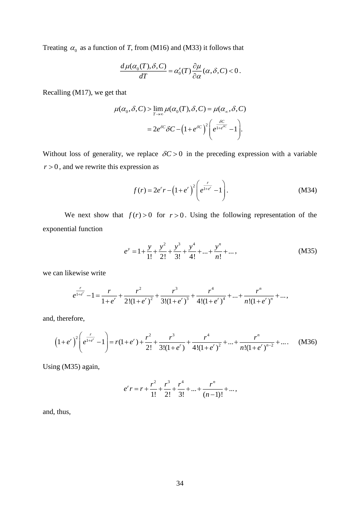Treating  $\alpha_0$  as a function of *T*, from (M16) and (M33) it follows that

$$
\frac{d\,\mu(\alpha_0(T),\delta,C)}{dT} = \alpha'_0(T)\frac{\partial\mu}{\partial\alpha}(\alpha,\delta,C) < 0\,.
$$

Recalling (M17), we get that

$$
\mu(\alpha_0, \delta, C) > \lim_{T \to \infty} \mu(\alpha_0(T), \delta, C) = \mu(\alpha_\infty, \delta, C)
$$

$$
= 2e^{\delta C} \delta C - (1 + e^{\delta C})^2 \left( e^{\frac{\delta C}{1 + e^{\delta C}}} - 1 \right).
$$

Without loss of generality, we replace  $\delta C > 0$  in the preceding expression with a variable  $r > 0$ , and we rewrite this expression as

$$
f(r) = 2e^{r}r - (1 + e^{r})^{2} \left(e^{\frac{r}{1 + e^{r}}} - 1\right).
$$
 (M34)

We next show that  $f(r) > 0$  for  $r > 0$ . Using the following representation of the exponential function

$$
e^{y} = 1 + \frac{y}{1!} + \frac{y^{2}}{2!} + \frac{y^{3}}{3!} + \frac{y^{4}}{4!} + \dots + \frac{y^{n}}{n!} + \dots,
$$
 (M35)

we can likewise write

$$
e^{\frac{r}{1+e^r}}-1=\frac{r}{1+e^r}+\frac{r^2}{2!(1+e^r)^2}+\frac{r^3}{3!(1+e^r)^3}+\frac{r^4}{4!(1+e^r)^4}+\ldots+\frac{r^n}{n!(1+e^r)^n}+\ldots,
$$

and, therefore,

$$
(1+e^r)^2 \left(e^{\frac{r}{1+e^r}}-1\right) = r(1+e^r) + \frac{r^2}{2!} + \frac{r^3}{3!(1+e^r)} + \frac{r^4}{4!(1+e^r)^2} + \dots + \frac{r^n}{n!(1+e^r)^{n-2}} + \dots
$$
 (M36)

Using (M35) again,

$$
e^{r} r = r + \frac{r^{2}}{1!} + \frac{r^{3}}{2!} + \frac{r^{4}}{3!} + \dots + \frac{r^{n}}{(n-1)!} + \dots,
$$

and, thus,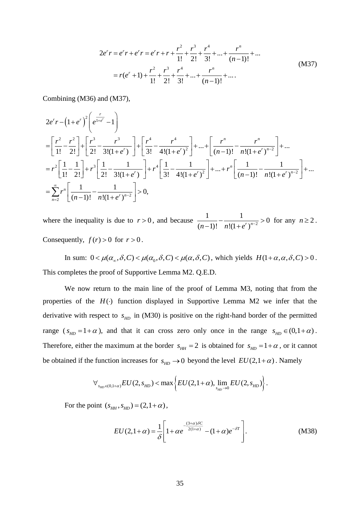$$
2e^{r}r = e^{r}r + e^{r}r = e^{r}r + r + \frac{r^{2}}{1!} + \frac{r^{3}}{2!} + \frac{r^{4}}{3!} + \dots + \frac{r^{n}}{(n-1)!} + \dots
$$
  
=  $r(e^{r} + 1) + \frac{r^{2}}{1!} + \frac{r^{3}}{2!} + \frac{r^{4}}{3!} + \dots + \frac{r^{n}}{(n-1)!} + \dots$  (M37)

Combining (M36) and (M37),

$$
2e^{r}r - (1+e^{r})^{2}\left(e^{\frac{r}{1+e^{r}}}-1\right)
$$
\n
$$
= \left[\frac{r^{2}}{1!} - \frac{r^{2}}{2!}\right] + \left[\frac{r^{3}}{2!} - \frac{r^{3}}{3!(1+e^{r})}\right] + \left[\frac{r^{4}}{3!} - \frac{r^{4}}{4!(1+e^{r})^{2}}\right] + ... + \left[\frac{r^{n}}{(n-1)!} - \frac{r^{n}}{n!(1+e^{r})^{n-2}}\right] + ...
$$
\n
$$
= r^{2}\left[\frac{1}{1!} - \frac{1}{2!}\right] + r^{3}\left[\frac{1}{2!} - \frac{1}{3!(1+e^{r})}\right] + r^{4}\left[\frac{1}{3!} - \frac{1}{4!(1+e^{r})^{2}}\right] + ... + r^{n}\left[\frac{1}{(n-1)!} - \frac{1}{n!(1+e^{r})^{n-2}}\right] + ...
$$
\n
$$
= \sum_{n=2}^{\infty} r^{n}\left[\frac{1}{(n-1)!} - \frac{1}{n!(1+e^{r})^{n-2}}\right] > 0,
$$

where the inequality is due to  $r > 0$ , and because  $\frac{1}{(1-r)^{n-2}} - \frac{1}{(1-r)^{n-2}}$  $\frac{1}{1}$  -  $\frac{1}{1}$  > 0  $\frac{1}{(n-1)!} - \frac{1}{n!(1+e^r)^{n-2}} > 0$  for any  $n \ge 2$ . Consequently,  $f(r) > 0$  for  $r > 0$ .

In sum:  $0 < \mu(\alpha_{\infty}, \delta, C) < \mu(\alpha_0, \delta, C) < \mu(\alpha, \delta, C)$ , which yields  $H(1 + \alpha, \alpha, \delta, C) > 0$ . This completes the proof of Supportive Lemma M2. Q.E.D.

We now return to the main line of the proof of Lemma M3, noting that from the properties of the  $H(\cdot)$  function displayed in Supportive Lemma M2 we infer that the derivative with respect to  $s_{HD}$  in (M30) is positive on the right-hand border of the permitted range ( $s_{HD} = 1 + \alpha$ ), and that it can cross zero only once in the range  $s_{HD} \in (0, 1 + \alpha)$ . Therefore, either the maximum at the border  $s_{HH} = 2$  is obtained for  $s_{HD} = 1 + \alpha$ , or it cannot

be obtained if the function increases for 
$$
s_{HD} \to 0
$$
 beyond the level  $EU(2,1+\alpha)$ . Namely  
\n
$$
\forall_{s_{HD} \in (0,1+\alpha)} EU(2,s_{HD}) < \max \left\{ EU(2,1+\alpha), \lim_{s_{HD} \to 0} EU(2,s_{HD}) \right\}.
$$

For the point  $(s_{HH}, s_{HD}) = (2, 1 + \alpha)$ ,

$$
EU(2,1+\alpha) = \frac{1}{\delta} \left[ 1 + \alpha e^{-\frac{(3+\alpha)\delta C}{2(1+\alpha)}} - (1+\alpha)e^{-\delta T} \right].
$$
 (M38)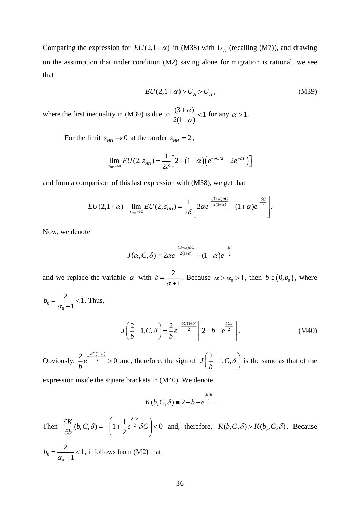Comparing the expression for  $EU(2,1+\alpha)$  in (M38) with  $U_A$  (recalling (M7)), and drawing on the assumption that under condition (M2) saving alone for migration is rational, we see that

$$
EU(2,1+\alpha) > U_A > U_H, \qquad (M39)
$$

where the first inequality in (M39) is due to  $\frac{(3+\alpha)}{2\alpha} < 1$  $2(1+\alpha)$  $\alpha$ α  $\frac{+\alpha)}{2}$  $\frac{(\alpha)}{(\alpha+1)^2}$  < 1 for any  $\alpha > 1$ .

For the limit  $s_{HD} \rightarrow 0$  at the border  $s_{HH} = 2$ ,

$$
\lim_{s_{HD}\to 0} EU(2, s_{HD}) = \frac{1}{2\delta} \Big[ 2 + (1+\alpha) \Big( e^{-\delta C/2} - 2e^{-\delta T} \Big) \Big]
$$

and from a comparison of this last expression with (M38), we get that

$$
EU(2,1+\alpha) - \lim_{s_{HD}\to 0} EU(2,s_{HD}) = \frac{1}{2\delta} \left[ 2\alpha e^{-\frac{(3+\alpha)\delta C}{2(1+\alpha)}} - (1+\alpha)e^{-\frac{\delta C}{2}} \right].
$$

Now, we denote

$$
J(\alpha, C, \delta) = 2\alpha e^{-\frac{(3+\alpha)\delta C}{2(1+\alpha)}} - (1+\alpha)e^{-\frac{\delta C}{2}}
$$

and we replace the variable  $\alpha$  with  $b = -\frac{2}{3}$ 1 *b* α  $=\frac{2}{\alpha+1}$ . Because  $\alpha > \alpha_0 > 1$ , then  $b \in (0, b_0)$ , where

$$
b_0 = \frac{2}{\alpha_0 + 1} < 1. \text{ Thus,}
$$

$$
J\left(\frac{2}{b}-1,C,\delta\right) = \frac{2}{b}e^{-\frac{\delta C(1+b)}{2}}\left[2-b-e^{\frac{\delta Cb}{2}}\right].
$$
 (M40)

Obviously,  $(1+b)$  $\frac{2}{e}e^{-\frac{2C(1+D)}{2}}>0$ *C b b e*  $-\frac{\delta C(1+b)}{2} > 0$  and, therefore, the sign of  $J(\frac{2}{\epsilon}-1, C, \frac{2}{\epsilon})$  $J(\frac{2}{-1})$ *b*  $\left(\frac{2}{b} - 1, C, \delta\right)$ is the same as that of the

expression inside the square brackets in (M40). We denote

$$
K(b, C, \delta) \equiv 2 - b - e^{\frac{\delta C b}{2}}.
$$

Then  $\frac{\partial K}{\partial b}(b, C, \delta) = -\left(1 + \frac{1}{2}e^{\frac{b C b}{2}} \delta C\right) < 0$  $K(\mathbf{b}, \mathbf{C}, \delta) = -\left(1 + \frac{1}{e^{-2}}\frac{\delta^{Cb}}{2}\delta C\right)$ *b* δ  $\frac{\partial K}{\partial p}(b, C, \delta) = -\left(1 + \frac{1}{e^{2}} \frac{\delta C b}{\delta C}\right)$  $\frac{\partial K}{\partial b}(b, C, \delta) = -\left(1 + \frac{1}{2}e^{-2} \delta C\right) < 0$  and, therefore,  $K(b, C, \delta) > K(b_0, C, \delta)$ . Because

 $\overline{0}$  $_0 + 1$  $b_0 = \frac{2}{\alpha_0 + 1} < 1$ +  $<$ 1, it follows from (M2) that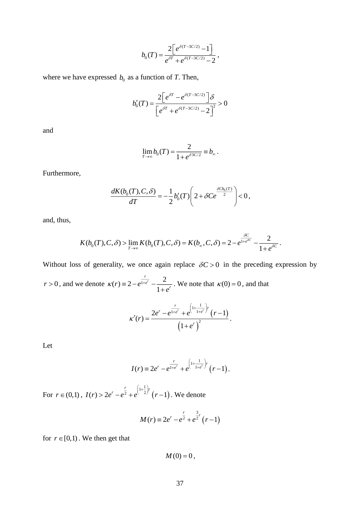$$
b_0(T) = \frac{2\left[e^{\delta(T-3C/2)} - 1\right]}{e^{\delta T} + e^{\delta(T-3C/2)} - 2},
$$

where we have expressed  $b_0$  as a function of *T*. Then,

$$
b_0'(T) = \frac{2\left[e^{\delta T} - e^{\delta(T-3C/2)}\right]\delta}{\left[e^{\delta T} + e^{\delta(T-3C/2)} - 2\right]^2} > 0
$$

and

$$
\lim_{T\to\infty}b_0(T)=\frac{2}{1+e^{\delta 3C/2}}\equiv b_\infty.
$$

Furthermore,

$$
\frac{dK(b_0(T), C, \delta)}{dT} = -\frac{1}{2}b'_0(T)\left(2 + \delta Ce^{\frac{\delta C b_0(T)}{2}}\right) < 0,
$$

and, thus,

$$
K(b_0(T),C,\delta)>\lim_{T\to\infty}K(b_0(T),C,\delta)=K(b_\infty,C,\delta)=2-e^{\frac{\delta C}{1+e^{\delta C}}}-\frac{2}{1+e^{\delta C}}.
$$

Without loss of generality, we once again replace  $\delta C > 0$  in the preceding expression by

 $r > 0$ , and we denote  $\kappa(r) = 2 - e^{\frac{r}{1 + e^r}} - \frac{2}{1 - e^r}$ 1  $(r) \equiv 2 - e^{\frac{r}{1 + e^r}}$  $r = 2 - e^{\frac{t}{1+e^r}} - \frac{2}{1+e^r}$  $\kappa(r) \equiv 2 - e^{1 + e^r} - \frac{2}{1 + e^r}$ +  $\equiv 2-e^{1+e^{r}}-\frac{2}{\epsilon}$ . We note that  $\kappa(0)=0$ , and that

$$
\kappa'(r) = \frac{2e^r - e^{\frac{r}{1+e^r}} + e^{\left(1 + \frac{1}{1+e^r}\right)r}(r-1)}{\left(1 + e^r\right)^2}.
$$

Let

$$
I(r) \equiv 2e^{r} - e^{\frac{r}{1+e^{r}}} + e^{\left(1+\frac{1}{1+e^{r}}\right)r} (r-1).
$$

For  $r \in (0,1)$ ,  $I(r) > 2e^r - e^2 + e^{(-2)} (r-1)$  $(r) > 2e^r - e^{\frac{r}{2}} + e^{(\frac{1}{2})r} (r-1)$  $I(r) > 2e^{r} - e^{\frac{r}{2}} + e^{(\frac{1+\frac{1}{2}}{r})r}$  (*r*  $> 2e^{r} - e^{\frac{r}{2}} + e^{(\frac{1}{2})r}$   $(r-1)$ . We denote

$$
M(r) \equiv 2e^{r} - e^{\frac{r}{2}} + e^{\frac{3}{2}r} (r-1)
$$

for  $r \in [0,1)$ . We then get that

 $M(0) = 0,$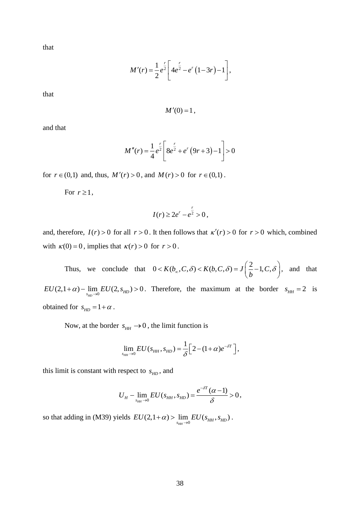that

$$
M'(r) = \frac{1}{2}e^{\frac{r}{2}} \left[4e^{\frac{r}{2}} - e^r(1-3r) - 1\right],
$$

that

 $M'(0) = 1$ ,

and that

$$
M''(r) = \frac{1}{4}e^{\frac{r}{2}} \left[8e^{\frac{r}{2}} + e^r(9r+3) - 1\right] > 0
$$

for  $r \in (0,1)$  and, thus,  $M'(r) > 0$ , and  $M(r) > 0$  for  $r \in (0,1)$ .

For  $r \geq 1$ ,

$$
I(r) \geq 2e^r - e^{\frac{r}{2}} > 0,
$$

and, therefore,  $I(r) > 0$  for all  $r > 0$ . It then follows that  $\kappa'(r) > 0$  for  $r > 0$  which, combined with  $\kappa(0) = 0$ , implies that  $\kappa(r) > 0$  for  $r > 0$ .

Thus, we conclude that  $0 < K(b_\infty, C, \delta) < K(b, C, \delta) = J\left(\frac{2}{b} - 1, C, \delta\right)$  $< K(b_\infty, C, \delta) < K(b, C, \delta) = J\left(\frac{2}{b} - 1, C, \delta\right)$ , and that  $EU(2,1+\alpha) - \lim_{s_{HD}\to 0} EU(2, s_{HD}) > 0$ . Therefore, the maximum at the border  $s_{HH} = 2$  is obtained for  $s_{HD} = 1 + \alpha$ .

Now, at the border  $s_{HH} \rightarrow 0$ , the limit function is

$$
\lim_{s_{HH}\to 0} EU(s_{HH}, s_{HD}) = \frac{1}{\delta} \Big[ 2 - (1+\alpha)e^{-\delta T} \Big],
$$

this limit is constant with respect to  $s_{HD}$ , and

$$
U_{H}-\lim_{s_{HH}\to 0}EU(s_{HH}, s_{HD})=\frac{e^{-\delta T}(\alpha-1)}{\delta}>0,
$$

so that adding in (M39) yields  $EU(2,1+\alpha) > \lim_{s_{HH}\to 0} EU(s_{HH}, s_{HD})$ .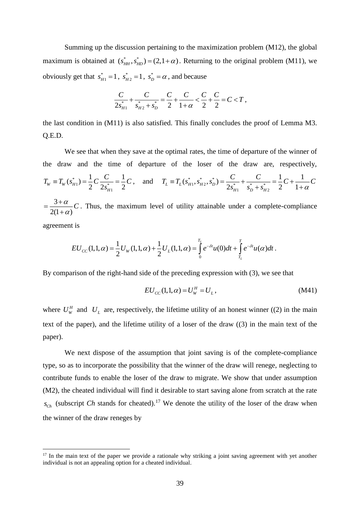Summing up the discussion pertaining to the maximization problem (M12), the global maximum is obtained at  $(s_{HH}^*, s_{HD}^*) = (2, 1 + \alpha)$ . Returning to the original problem (M11), we obviously get that  $s_{H1}^* = 1$ ,  $s_{H2}^* = 1$ ,  $s_D^* = \alpha$ , and because

$$
\frac{C}{2s_{H1}^{*}} + \frac{C}{s_{H2}^{*} + s_{D}^{*}} = \frac{C}{2} + \frac{C}{1+\alpha} < \frac{C}{2} + \frac{C}{2} = C < T,
$$

the last condition in (M11) is also satisfied. This finally concludes the proof of Lemma M3. Q.E.D.

We see that when they save at the optimal rates, the time of departure of the winner of the draw and the time of departure of the loser of the draw are, respectively, \*  $1 = \frac{1}{2} \sqrt{2} \sqrt{2}$ 1  $(s_{H1}^*) = \frac{1}{2}C\frac{C}{2\pi^*} = \frac{1}{2}$  $T_w \equiv T_w(s_{H1}^*) = \frac{1}{2}C\frac{C}{2s_{H1}^*} = \frac{1}{2}$  $T_w \equiv T_w(s_{H1}^*) = \frac{1}{2}C\frac{C}{2s_{H1}^*} = \frac{1}{2}C$ , and  $T_L \equiv T_L(s_{H1}^*, s_{H2}^*, s_L^*)$  $(s_{H2}^*, s_D^*) = \frac{C}{2s_{\text{max}}^*} + \frac{C}{s_{\text{n}} + s_{\text{n}}}$  $-\frac{1}{s_D^* + s_{H2}^*}$ the loser of the draw are, respective<br>  $(s_{H1}^*, s_{H2}^*, s_D^*) = \frac{C}{2s_{H1}^*} + \frac{C}{s_{H1}^* + s_{H2}^*} = \frac{1}{2}C + \frac{1}{1 + \frac{1}{2}}$  $\sum_{L} \equiv T_L(\dot{s}_{H1}^*, \dot{s}_{H2}^*, \dot{s}_{D}^*) = \frac{C}{2\dot{s}_{H1}^*} + \frac{C}{\dot{s}_{D}^* + \dot{s}_{H2}^*} = \frac{1}{2}C + \frac{C}{1}$ re of the loser of the draw are, respectively<br>  $T_L = T_L(s_{H1}^*, s_{H2}^*, s_D^*) = \frac{C}{2s_{H1}^*} + \frac{C}{s_{H1}^*} = \frac{1}{2}C + \frac{1}{1+\alpha}C$  $\frac{C}{s_{H1}^{*}} + \frac{C}{s_{D}^{*} + s_{H2}^{*}} = \frac{1}{2}C + \frac{1}{1+\alpha}$ of the loser of the draw are, respectively,<br>=  $T_L(s_{H1}^*, s_{H2}^*, s_D^*) = \frac{C}{2s^*} + \frac{C}{s^* + s^*} = \frac{1}{2}C + \frac{1}{1+\alpha}C$  $\frac{C}{+s_{H2}^*} = \frac{1}{2}C + \frac{1}{1+\alpha}C$ 3  $2(1+\alpha)$  $\frac{\alpha}{\cdot}$ *C*  $\alpha$  $=\frac{3+}{3}$ + . Thus, the maximum level of utility attainable under a complete-compliance

agreement is

<u>.</u>

t is  
\n
$$
EU_{CC}(1,1,\alpha) = \frac{1}{2}U_W(1,1,\alpha) + \frac{1}{2}U_L(1,1,\alpha) = \int_0^{T_L} e^{-\delta t}u(0)dt + \int_{T_L}^T e^{-\delta t}u(\alpha)dt.
$$

By comparison of the right-hand side of the preceding expression with (3), we see that

$$
EU_{CC}(1,1,\alpha) = U_W^H = U_L, \qquad (M41)
$$

where  $U_W^H$  and  $U_L$  are, respectively, the lifetime utility of an honest winner ((2) in the main text of the paper), and the lifetime utility of a loser of the draw ((3) in the main text of the paper).

We next dispose of the assumption that joint saving is of the complete-compliance type, so as to incorporate the possibility that the winner of the draw will renege, neglecting to contribute funds to enable the loser of the draw to migrate. We show that under assumption (M2), the cheated individual will find it desirable to start saving alone from scratch at the rate  $s_{Ch}$  (subscript *Ch* stands for cheated).<sup>17</sup> We denote the utility of the loser of the draw when the winner of the draw reneges by

<sup>&</sup>lt;sup>17</sup> In the main text of the paper we provide a rationale why striking a joint saving agreement with yet another individual is not an appealing option for a cheated individual.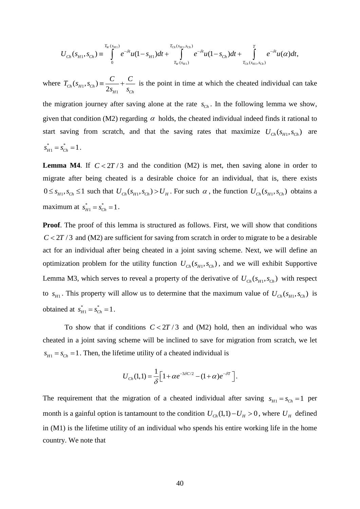$$
U_{Ch}(s_{H1}, s_{Ch}) \equiv \int\limits_{0}^{T_W(s_{H1})} e^{-\delta t} u(1-s_{H1}) dt + \int\limits_{T_W(s_{H1})}^{T_{Ch}(s_{H1}, s_{Ch})} e^{-\delta t} u(1-s_{Ch}) dt + \int\limits_{T_{Ch}(s_{H1}, s_{Ch})}^{T} e^{-\delta t} u(\alpha) dt,
$$

where  $T_{Ch}(s_{H1}, s_{Ch}) = \frac{C}{2s_{H1}} + \frac{C}{s_{Cl}}$ 1 *H Ch s s*  $=\frac{1}{2} + \frac{1}{2}$  is the point in time at which the cheated individual can take the migration journey after saving alone at the rate  $s_{Ch}$ . In the following lemma we show, given that condition (M2) regarding  $\alpha$  holds, the cheated individual indeed finds it rational to start saving from scratch, and that the saving rates that maximize  $U_{Ch}(s_{H1}, s_{Ch})$  are  $*$   $\overline{\phantom{a}}$  $s_{H1}^* = s_{Ch}^* = 1$ .

**Lemma M4.** If  $C < 2T/3$  and the condition (M2) is met, then saving alone in order to migrate after being cheated is a desirable choice for an individual, that is, there exists  $0 \leq s_{H_1}, s_{C_h} \leq 1$  such that  $U_{Ch}(s_{H_1}, s_{Ch}) > U_H$ . For such  $\alpha$ , the function  $U_{Ch}(s_{H_1}, s_{Ch})$  obtains a maximum at  $s_{H1}^* = s_G^*$  $s_{H1}^* = s_{Ch}^* = 1$ .

**Proof**. The proof of this lemma is structured as follows. First, we will show that conditions  $C < 2T/3$  and (M2) are sufficient for saving from scratch in order to migrate to be a desirable act for an individual after being cheated in a joint saving scheme. Next, we will define an optimization problem for the utility function  $U_{Ch}(s_H, s_{Ch})$ , and we will exhibit Supportive Lemma M3, which serves to reveal a property of the derivative of  $U_{ch}(s_{H1}, s_{Ch})$  with respect to  $s_{H1}$ . This property will allow us to determine that the maximum value of  $U_{Ch}(s_{H1}, s_{Ch})$  is obtained at  $s_{H1}^* = s_{C}^*$  $s_{H1}^* = s_{Ch}^* = 1$ .

To show that if conditions  $C < 2T/3$  and (M2) hold, then an individual who was cheated in a joint saving scheme will be inclined to save for migration from scratch, we let  $s_{H1} = s_{Ch} = 1$ . Then, the lifetime utility of a cheated individual is

$$
U_{Ch}(1,1)=\frac{1}{\delta}\Big[1+\alpha e^{-3\delta C/2}-(1+\alpha)e^{-\delta T}\Big].
$$

The requirement that the migration of a cheated individual after saving  $s_{H1} = s_{Ch} = 1$  per month is a gainful option is tantamount to the condition  $U_{Ch}(1,1) - U_H > 0$ , where  $U_H$  defined in (M1) is the lifetime utility of an individual who spends his entire working life in the home country. We note that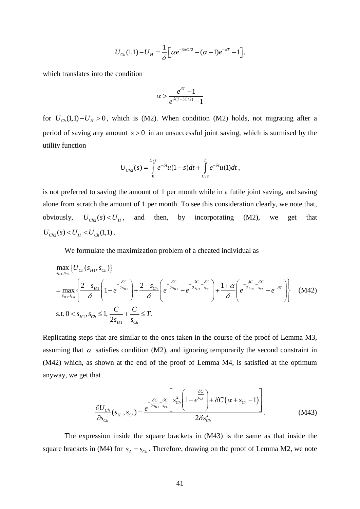$$
U_{Ch}(1,1)-U_H=\frac{1}{\delta}\Big[\alpha e^{-3\delta C/2}-(\alpha-1)e^{-\delta T}-1\Big],
$$

which translates into the condition

$$
\alpha > \frac{e^{\delta T}-1}{e^{\delta (T-3C/2)}-1}
$$

for  $U_{Ch}(1,1) - U_H > 0$ , which is (M2). When condition (M2) holds, not migrating after a period of saving any amount  $s > 0$  in an unsuccessful joint saving, which is surmised by the utility function

$$
U_{Ch2}(s) = \int_{0}^{C/s} e^{-\delta t} u(1-s) dt + \int_{C/s}^{T} e^{-\delta t} u(1) dt,
$$

is not preferred to saving the amount of 1 per month while in a futile joint saving, and saving alone from scratch the amount of 1 per month. To see this consideration clearly, we note that, obviously,  $U_{Ch2}(s) < U_H$ , and then, by incorporating (M2), we get that  $U_{Ch2}(s) < U_H < U_{Ch}(1,1)$ .

We formulate the maximization problem of a cheated individual as

$$
U_{\text{Cb}}(1,1)-U_H = \frac{1}{\delta} \left[ \alpha e^{-3\delta C/2} - (\alpha - 1)e^{-\beta T} - 1 \right],
$$
  
ch translates into the condition  

$$
\alpha > \frac{e^{\beta T} - 1}{e^{\beta (T - 3C/2)}} - 1
$$
  

$$
U_{\text{Cb}}(1,1)-U_H > 0
$$
, which is (M2). When condition (M2) holds, not migrating after a  
od of saving any amount  $s > 0$  in an unsuccessful joint saving, which is surmised by the  
ty function  

$$
U_{\text{Cb2}}(s) = \int_{0}^{C_I} e^{-\delta t} u(1-s) dt + \int_{C_{IS}}^{T} e^{-\delta t} u(1) dt,
$$
  
of preferred to saving the amount of 1 per month. To see this consideration clearly, we note that,  
iously,  

$$
U_{\text{Cb2}}(s) < U_H
$$
, and then, by incorporating (M2), we get that  

$$
s(s) < U_H < U_{\text{Cb1}}(1,1).
$$
  
We formulate the maximization problem of a checked individual as  

$$
\max_{s_H \to \infty} \{U_{\text{Cb}}(s_H, s_{\text{Cb}})\}
$$

$$
= \max_{s_H \to \infty} \{\frac{2 - s_{H1}}{\delta} \left(1 - e^{-\frac{\delta C}{2s_{H1}}} \right) + \frac{2 - s_{\text{Cb}}}{\delta} \left( e^{-\frac{\delta C}{2s_{H1} - \delta t} - e^{-\frac{\delta C}{2s_{H1} - \delta t}} \right) + \frac{1 + \alpha}{\delta} \left( e^{-\frac{\delta C}{2s_{H1} - \delta t} - e^{-\beta T}} \right) \}
$$
 (M42)  
s.t.  $0 < s_{H1}, s_{\text{Cb}} \le 1$ ,  $\frac{C}{2s_{H1}} + \frac{C}{s_{\text{Cb}}} \le T$ .  
licating steps that are similar to the ones taken in the course of the proof of Lemma M3,  
ming that  $\alpha$  satisfies condition (M2), and ignoring temporarily the second constraint in  
2) which, as shown at the end of the proof of Lemma M4, is satisfied at the optimum  
way, we get that  

$$
\frac{\partial U_{\text{Cb}}}{\partial s_{\text{Ca}}}(s_{H1}, s_{\text{Cb}}) = \frac
$$

Replicating steps that are similar to the ones taken in the course of the proof of Lemma M3, assuming that  $\alpha$  satisfies condition (M2), and ignoring temporarily the second constraint in (M42) which, as shown at the end of the proof of Lemma M4, is satisfied at the optimum anyway, we get that

$$
\frac{\partial U_{Ch}}{\partial s_{Ch}}(s_{H1}, s_{Ch}) = \frac{e^{-\frac{\delta C}{2s_{H1}} \frac{\delta C}{s_{Ch}}}\left[s_{Ch}^{2}\left(1 - e^{\frac{\delta C}{s_{Ch}}}\right) + \delta C\left(\alpha + s_{Ch} - 1\right)\right]}{2\delta s_{Ch}^{2}}.
$$
\n(M43)

The expression inside the square brackets in (M43) is the same as that inside the square brackets in (M4) for  $s_A = s_{Ch}$ . Therefore, drawing on the proof of Lemma M2, we note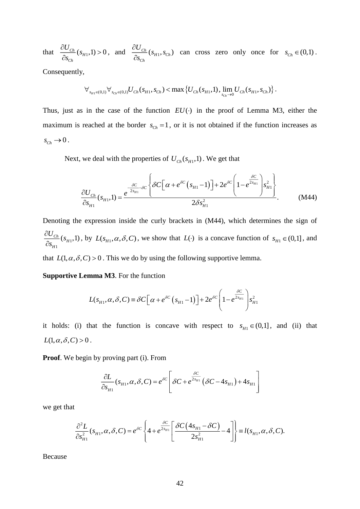that  $\frac{100 \text{ C/h}}{2}$  (s<sub>H1</sub>,1) > 0 *Ch*  $U_{\scriptscriptstyle Ch}$  (  $_{S}$ *s*  $\frac{\partial U_{Ch}}{\partial s_{Ch}}(s_{H1},1) > 0$ , and  $\frac{\partial U_{Ch}}{\partial s_{Ch}}(s_{H1},s_{Ch})$ *C h h*  $\frac{U_{Ch}}{S_{H1},S_{C}}$ *s*  $\frac{\partial U_{Ch}}{\partial s}(s_{m},s)$  $\frac{\partial C_{ch}}{\partial s_{ci}}(s_{H1}, s_{Ch})$  can cross zero only once for  $s_{Ch} \in (0,1)$ .

Consequently,

$$
\forall_{s_{H1}\in(0,1)}\forall_{s_{Ch}\in(0,1)} U_{Ch}(s_{H1},s_{Ch}) < \max\left\{U_{Ch}(s_{H1},1),\lim_{s_{Ch}\to 0}U_{Ch}(s_{H1},s_{Ch})\right\}.
$$

Thus, just as in the case of the function  $EU(\cdot)$  in the proof of Lemma M3, either the maximum is reached at the border  $s_{Ch} = 1$ , or it is not obtained if the function increases as  $s_{\text{Ch}} \rightarrow 0$ .

Next, we deal with the properties of  $U_{\text{Ch}}(s_{H1}, 1)$ . We get that

$$
\frac{\partial U_{Ch}}{\partial s_{H1}}(s_{H1},1) = \frac{e^{-\frac{\delta C}{2s_{H1}} - \delta C} \left\{ \delta C \left[ \alpha + e^{\delta C} \left( s_{H1} - 1 \right) \right] + 2e^{\delta C} \left( 1 - e^{\frac{\delta C}{2s_{H1}}} \right) s_{H1}^2 \right\}}{2\delta s_{H1}^2}.
$$
 (M44)

Denoting the expression inside the curly brackets in (M44), which determines the sign of 1 1  $\frac{Ch}{H_1}(s_{H1},1)$ *H*  $\frac{U_{Ch}}{S}$ *s*  $\partial$  $\partial$ , by  $L(s_{H_1}, \alpha, \delta, C)$ , we show that  $L(\cdot)$  is a concave function of  $s_{H_1} \in (0,1]$ , and

that  $L(1, \alpha, \delta, C) > 0$ . This we do by using the following supportive lemma.

**Supportive Lemma M3**. For the function

mma M3. For the function  
\n
$$
L(s_{H1}, \alpha, \delta, C) = \delta C \left[ \alpha + e^{\delta C} \left( s_{H1} - 1 \right) \right] + 2e^{\delta C} \left( 1 - e^{\frac{\delta C}{2s_{H1}}} \right) s_{H1}^2
$$

it holds: (i) that the function is concave with respect to  $s_{H_1} \in (0,1]$ , and (ii) that  $L(1, \alpha, \delta, C) > 0$ .

**Proof**. We begin by proving part (i). From

$$
\frac{\partial L}{\partial s_{H1}}(s_{H1}, \alpha, \delta, C) = e^{\delta C} \left[ \delta C + e^{\frac{\delta C}{2s_{H1}}} (\delta C - 4s_{H1}) + 4s_{H1} \right]
$$

we get that

$$
\frac{\partial^2 L}{\partial s_{H1}^2}(s_{H1}, \alpha, \delta, C) = e^{\delta C} \left\{ 4 + e^{\frac{\delta C}{2s_{H1}}} \left[ \frac{\delta C (4s_{H1} - \delta C)}{2s_{H1}^2} - 4 \right] \right\} = l(s_{H1}, \alpha, \delta, C).
$$

Because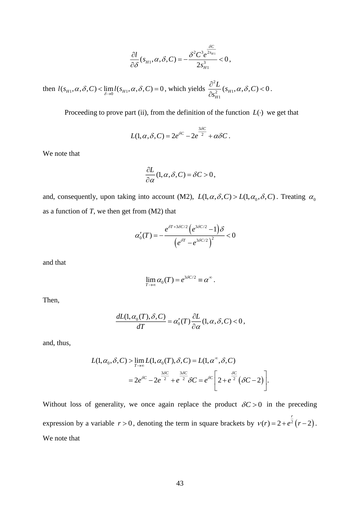$$
\frac{\partial l}{\partial \delta}(s_{H1}, \alpha, \delta, C) = -\frac{\delta^2 C^3 e^{\frac{\delta C}{2s_{H1}}}}{2s_{H1}^3} < 0,
$$

then  $l(s_{H1}, \alpha, \delta, C) < \lim_{\delta \to 0} l(s_{H1}, \alpha, \delta, C) = 0$ , which yields 2 2  $^{6}$ H<sub>1</sub> 1  $(s_{H1}, \alpha, \delta, C) < 0$ *H C s*  $\frac{\partial^2 L}{\partial x^2}(s_{H1}, \alpha, \delta, C)$  $\partial$  $< 0$ .

Proceeding to prove part (ii), from the definition of the function  $L(\cdot)$  we get that

$$
L(1, \alpha, \delta, C) = 2e^{\delta C} - 2e^{\frac{3\delta C}{2}} + \alpha \delta C.
$$

We note that

$$
\frac{\partial L}{\partial \alpha}(1,\alpha,\delta,C) = \delta C > 0,
$$

and, consequently, upon taking into account (M2),  $L(1, \alpha, \delta, C) > L(1, \alpha_0, \delta, C)$ . Treating  $\alpha_0$ as a function of *T*, we then get from (M2) that

$$
\alpha'_0(T) = -\frac{e^{\delta T + 3\delta C/2} \left(e^{3\delta C/2} - 1\right) \delta}{\left(e^{\delta T} - e^{3\delta C/2}\right)^2} < 0
$$

and that

$$
\lim_{T\to\infty} \alpha_0(T) = e^{3\delta C/2} \equiv \alpha^{\infty}.
$$

Then,

$$
\frac{dL(1,\alpha_0(T),\delta,C)}{dT} = \alpha'_0(T)\frac{\partial L}{\partial \alpha}(1,\alpha,\delta,C) < 0,
$$

and, thus,

$$
L(1, \alpha_0, \delta, C) > \lim_{T \to \infty} L(1, \alpha_0(T), \delta, C) = L(1, \alpha^{\infty}, \delta, C)
$$
  
=  $2e^{\delta C} - 2e^{\frac{3\delta C}{2}} + e^{\frac{3\delta C}{2}} \delta C = e^{\delta C} \left[ 2 + e^{\frac{\delta C}{2}} (\delta C - 2) \right].$ 

=  $-\frac{\delta^2 C^2 e^{-s_{H1}}}{2s_{H1}^3}$ <br>
and the yields  $\frac{\partial^2}{\partial s}$ <br>
definition of  $e^{\delta C} - 2e^{\frac{3\delta C}{2}} + c$ <br>  $e^{\delta C} - 2e^{\frac{3\delta C}{2}} + c$ <br>  $C = \delta C > 0$ ,<br>
(M2),  $L(1, \alpha, \beta)$ <br>  $\frac{3\delta C/2}{2} (e^{3\delta C/2} - 1)$ <br>  $\frac{1}{\delta \alpha} (1, \alpha, \beta)$ <br>  $e^{\frac$ Without loss of generality, we once again replace the product  $\delta C > 0$  in the preceding expression by a variable  $r > 0$ , denoting the term in square brackets by  $v(r) = 2 + e^2 (r - 2)$  $v(r) = 2 + e^{\frac{r}{2}}(r-2)$ . We note that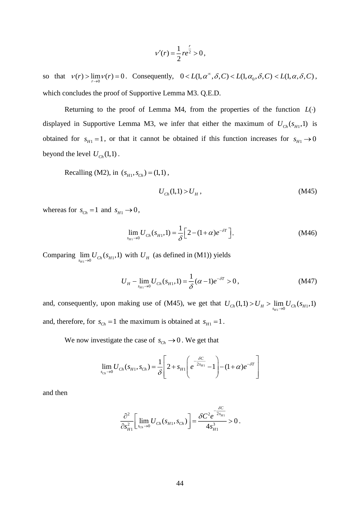$$
v'(r) = \frac{1}{2}re^{\frac{r}{2}} > 0,
$$

so that  $v(r) > \lim_{r \to 0} v(r) = 0$ . Consequently,  $0 < L(1, \alpha^{\infty}, \delta, C) < L(1, \alpha_0, \delta, C) < L(1, \alpha, \delta, C)$ , which concludes the proof of Supportive Lemma M3. Q.E.D.

 $\frac{1}{2}$ re<sup>2</sup><br>0 <<br>ma M4, if er ti<br>btain<br> $M4$ , if er ti<br>btain<br>1) > l<br> $\frac{1}{\delta}$ [2<br>ned ir<br>1) =  $\frac{1}{\epsilon}$ <br>5), w<br>tained 0. W<br>44<br>44 Returning to the proof of Lemma M4, from the properties of the function  $L(\cdot)$ displayed in Supportive Lemma M3, we infer that either the maximum of  $U_{Ch}(s_{H1}, 1)$  is obtained for  $s_{H_1} = 1$ , or that it cannot be obtained if this function increases for  $s_{H_1} \rightarrow 0$ beyond the level  $U_{Ch}(1,1)$ .

Recalling (M2), in  $(s_{H_1}, s_{C_h}) = (1,1)$ ,

$$
U_{Ch}(1,1) > U_H , \t\t(M45)
$$

whereas for  $s_{Ch} = 1$  and  $s_{H1} \rightarrow 0$ ,

$$
\lim_{s_{H1}\to 0} U_{Ch}(s_{H1}, 1) = \frac{1}{\delta} \Big[ 2 - (1 + \alpha) e^{-\delta T} \Big].
$$
 (M46)

Comparing  $\lim_{s_{H1}\to 0} U_{Ch}(s_{H1}, 1)$  with  $U_H$  (as defined in (M1)) yields

$$
U_{H} - \lim_{s_{H1} \to 0} U_{Ch}(s_{H1}, 1) = \frac{1}{\delta} (\alpha - 1)e^{-\delta T} > 0, \qquad (M47)
$$

and, consequently, upon making use of (M45), we get that  $U_{Ch}(1,1) > U_H > \lim_{s_{H1} \to 0} U_{Ch}(s_{H1}, 1)$ and, therefore, for  $s_{Ch} = 1$  the maximum is obtained at  $s_{H1} = 1$ .

We now investigate the case of  $s_{ch} \rightarrow 0$ . We get that

$$
\lim_{s_{Ch}\to 0} U_{Ch}(s_{H1}, s_{Ch}) = \frac{1}{\delta} \left[ 2 + s_{H1} \left( e^{-\frac{\delta C}{2s_{H1}}} - 1 \right) - (1 + \alpha) e^{-\delta T} \right]
$$

and then

$$
\frac{\partial^2}{\partial s_{H1}^2} \left[ \lim_{s_{Ch}\to 0} U_{Ch}(s_{H1}, s_{Ch}) \right] = \frac{\delta C^2 e^{-\frac{\delta C}{2s_{H1}}}}{4s_{H1}^3} > 0.
$$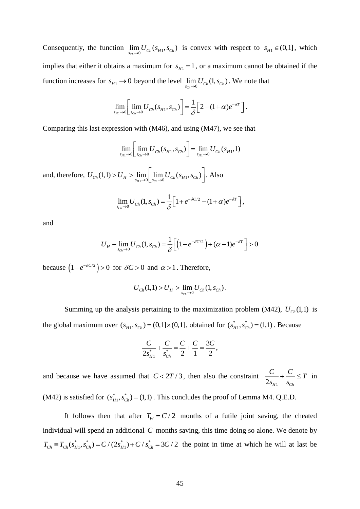Consequently, the function  $\lim_{s_{\text{Ch}} \to 0} U_{\text{Ch}}(s_{H_1}, s_{\text{Ch}})$  is convex with respect to  $s_{H_1} \in (0,1]$ , which implies that either it obtains a maximum for  $s<sub>H1</sub> = 1$ , or a maximum cannot be obtained if the function increases for  $s_{H1} \to 0$  beyond the level  $\lim_{s_{Ch} \to 0} U_{Ch}(1, s_{Ch})$ . We note that

$$
\lim_{s_{H1}\to 0}\left[\lim_{s_{Ch}\to 0}U_{Ch}(s_{H1},s_{Ch})\right]=\frac{1}{\delta}\left[2-(1+\alpha)e^{-\delta T}\right].
$$

Comparing this last expression with (M46), and using (M47), we see that

$$
\lim_{s_{H1}\to 0} \left[ \lim_{s_{Ch}\to 0} U_{Ch}(s_{H1}, s_{Ch}) \right] = \lim_{s_{H1}\to 0} U_{Ch}(s_{H1}, 1)
$$

and, therefore,  $U_{Ch}(1,1) > U_H > \lim_{s_{H1} \to 0} \left[ \lim_{s_{Ch} \to 0} U_{Ch}(s_{H1}, s_{Ch}) \right]$ . Also

$$
\lim_{s_{Ch}\to 0} U_{Ch}(1,s_{Ch}) = \frac{1}{\delta} \Big[1 + e^{-\delta C/2} - (1+\alpha)e^{-\delta T}\Big],
$$

and

$$
U_{H} - \lim_{s_{Ch} \to 0} U_{Ch}(1, s_{Ch}) = \frac{1}{\delta} \Big[ \Big( 1 - e^{-\delta C/2} \Big) + (\alpha - 1) e^{-\delta T} \Big] > 0
$$

because  $(1 - e^{-\delta C/2}) > 0$  for  $\delta C > 0$  and  $\alpha > 1$ . Therefore,

$$
U_{Ch}(1,1) > U_H > \lim_{s_{Ch}\to 0} U_{Ch}(1,s_{Ch}).
$$

Summing up the analysis pertaining to the maximization problem (M42),  $U_{Ch}(1,1)$  is the global maximum over  $(s_{H_1}, s_{C_h}) = (0,1] \times (0,1]$ , obtained for  $(s_{H_1}^*, s_C^*)$  $(s_{H1}^*, s_{Ch}^*) = (1,1)$ . Because

$$
\frac{C}{2s_{H1}^{*}} + \frac{C}{s_{Ch}^{*}} = \frac{C}{2} + \frac{C}{1} = \frac{3C}{2},
$$

and because we have assumed that  $C < 2T/3$ , then also the constraint  $2s_{H1}$   $s_{Ch}$ *C C s T s*  $+\frac{C}{\sqrt{2}} \leq T$  in

(M42) is satisfied for  $(s_{H1}^*, s_{C}^*)$  $(s<sub>H1</sub><sup>*</sup>, s<sub>Ch</sub><sup>*</sup>) = (1,1)$ . This concludes the proof of Lemma M4. Q.E.D.

It follows then that after  $T_w = C/2$  months of a futile joint saving, the cheated individual will spend an additional *C* months saving, this time doing so alone. We denote by  $T_{Ch} = T_{Ch}(s_{H_1}^*, s_{Ch}^*) = C/(2s_{H_1}^*) + C/s_{Ch}^* = 3C/2$  the point in time at which he will at last be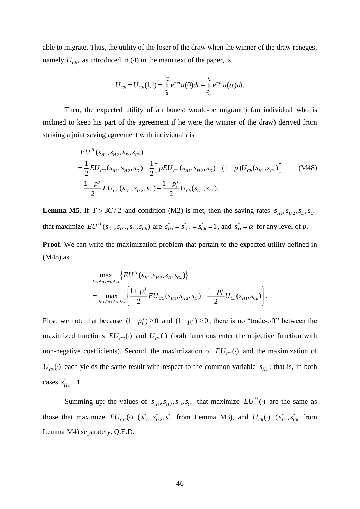able to migrate. Thus, the utility of the loser of the draw when the winner of the draw reneges, namely  $U_{ch}$ , as introduced in (4) in the main text of the paper, is

$$
U_{Ch} = U_{Ch}(1,1) = \int_{0}^{T_{Ch}} e^{-\delta t} u(0) dt + \int_{T_{Ch}}^{T} e^{-\delta t} u(\alpha) dt.
$$

Then, the expected utility of an honest would-be migrant *j* (an individual who is inclined to keep his part of the agreement if he were the winner of the draw) derived from striking a joint saving agreement with individual *i* is

$$
EU^H(s_{H1}, s_{H2}, s_D, s_{Ch})
$$
  
=  $\frac{1}{2}EU_{CC}(s_{H1}, s_{H2}, s_D) + \frac{1}{2} \Big[ pEU_{CC}(s_{H1}, s_{H2}, s_D) + (1-p)U_{Ch}(s_{H1}, s_{Ch}) \Big]$  (M48)  
=  $\frac{1+p_i^j}{2}EU_{CC}(s_{H1}, s_{H2}, s_D) + \frac{1-p_i^j}{2}U_{Ch}(s_{H1}, s_{Ch}).$ 

**Lemma M5.** If  $T > 3C/2$  and condition (M2) is met, then the saving rates  $s_{H_1}, s_{H_2}, s_D, s_{Ch_1}$ that maximize  $EU^H(s_H, s_H, s_D, s_C)$  are  $s_H^* = s_H^* = s_C^*$  $s_{H1}^* = s_{H2}^* = s_{Ch}^* = 1$ , and  $s_D^* = \alpha$  for any level of p.

**Proof.** We can write the maximization problem that pertain to the expected utility defined in (M48) as

$$
\max_{s_{H1}, s_{H2}, s_{D}, s_{Ch}} \left\{ EU^{H}(s_{H1}, s_{H2}, s_{D}, s_{Ch}) \right\}
$$
\n
$$
= \max_{s_{H1}, s_{H2}, s_{D}, s_{Ch}} \left\{ \frac{1 + p_{i}^{j}}{2} EU_{CC}(s_{H1}, s_{H2}, s_{D}) + \frac{1 - p_{i}^{j}}{2} U_{Ch}(s_{H1}, s_{Ch}) \right\}.
$$

First, we note that because  $(1 + p_i^j) \ge 0$  and  $(1 - p_i^j) \ge 0$ , there is no "trade-off" between the maximized functions  $EU_{CC}(\cdot)$  and  $U_{Ch}(\cdot)$  (both functions enter the objective function with non-negative coefficients). Second, the maximization of  $EU_{CC}(\cdot)$  and the maximization of  $U_{ch}(\cdot)$  each yields the same result with respect to the common variable  $s_{H1}$ ; that is, in both cases  $s_{H1}^* = 1$ .

Summing up: the values of  $s_{H_1}, s_{H_2}, s_{D}, s_{Ch}$  that maximize  $EU^H(\cdot)$  are the same as those that maximize  $EU_{CC}(\cdot)$  ( $s_{H1}^*, s_{H2}^*, s_D^*$  from Lemma M3), and  $U_{Ch}(\cdot)$  ( $s_{H1}^*, s_C^*$  $s_{H1}^*$ ,  $s_{Ch}^*$  from Lemma M4) separately. Q.E.D.